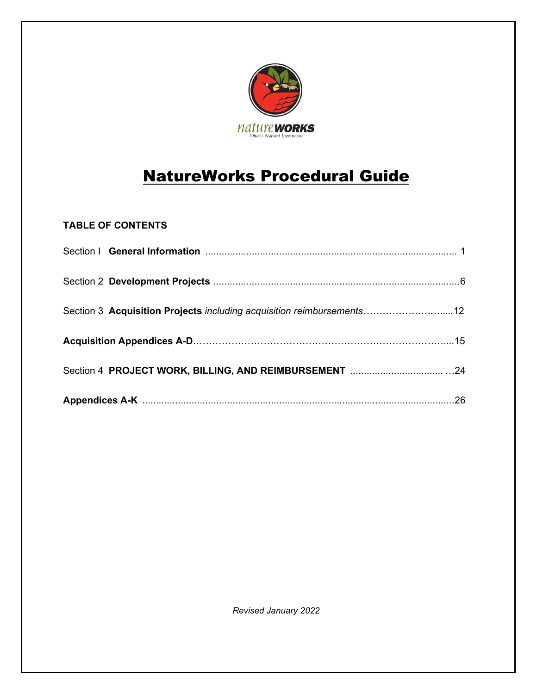

# NatureWorks Procedural Guide

## **TABLE OF CONTENTS**

| Section 3 Acquisition Projects including acquisition reimbursements12 |  |
|-----------------------------------------------------------------------|--|
|                                                                       |  |
|                                                                       |  |
|                                                                       |  |

*Revised January 2022*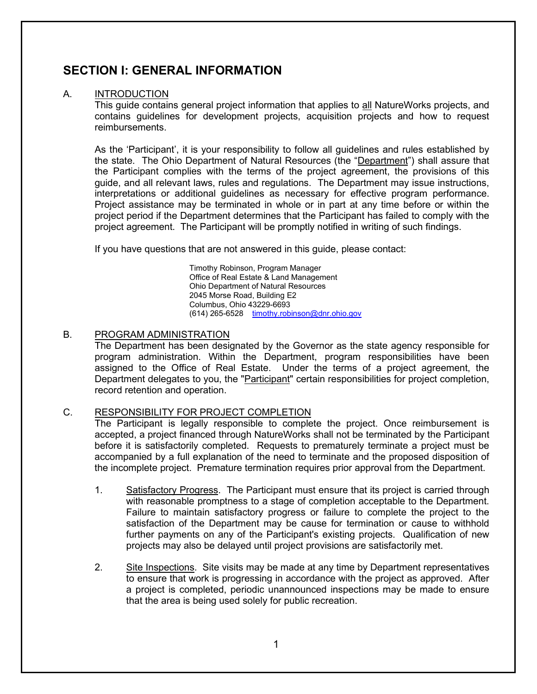## **SECTION I: GENERAL INFORMATION**

## A. INTRODUCTION

This guide contains general project information that applies to all NatureWorks projects, and contains guidelines for development projects, acquisition projects and how to request reimbursements.

As the 'Participant', it is your responsibility to follow all guidelines and rules established by the state. The Ohio Department of Natural Resources (the "Department") shall assure that the Participant complies with the terms of the project agreement, the provisions of this guide, and all relevant laws, rules and regulations. The Department may issue instructions, interpretations or additional guidelines as necessary for effective program performance. Project assistance may be terminated in whole or in part at any time before or within the project period if the Department determines that the Participant has failed to comply with the project agreement. The Participant will be promptly notified in writing of such findings.

If you have questions that are not answered in this guide, please contact:

Timothy Robinson, Program Manager Office of Real Estate & Land Management Ohio Department of Natural Resources 2045 Morse Road, Building E2 Columbus, Ohio 43229-6693 (614) 265-6528 [timothy.robinson@dnr.ohio.gov](mailto:timothy.robinson@dnr.ohio.gov)

#### B. PROGRAM ADMINISTRATION

The Department has been designated by the Governor as the state agency responsible for program administration. Within the Department, program responsibilities have been assigned to the Office of Real Estate. Under the terms of a project agreement, the Department delegates to you, the "Participant" certain responsibilities for project completion, record retention and operation.

#### C. RESPONSIBILITY FOR PROJECT COMPLETION

The Participant is legally responsible to complete the project. Once reimbursement is accepted, a project financed through NatureWorks shall not be terminated by the Participant before it is satisfactorily completed. Requests to prematurely terminate a project must be accompanied by a full explanation of the need to terminate and the proposed disposition of the incomplete project. Premature termination requires prior approval from the Department.

- 1. Satisfactory Progress. The Participant must ensure that its project is carried through with reasonable promptness to a stage of completion acceptable to the Department. Failure to maintain satisfactory progress or failure to complete the project to the satisfaction of the Department may be cause for termination or cause to withhold further payments on any of the Participant's existing projects. Qualification of new projects may also be delayed until project provisions are satisfactorily met.
- 2. Site Inspections. Site visits may be made at any time by Department representatives to ensure that work is progressing in accordance with the project as approved. After a project is completed, periodic unannounced inspections may be made to ensure that the area is being used solely for public recreation.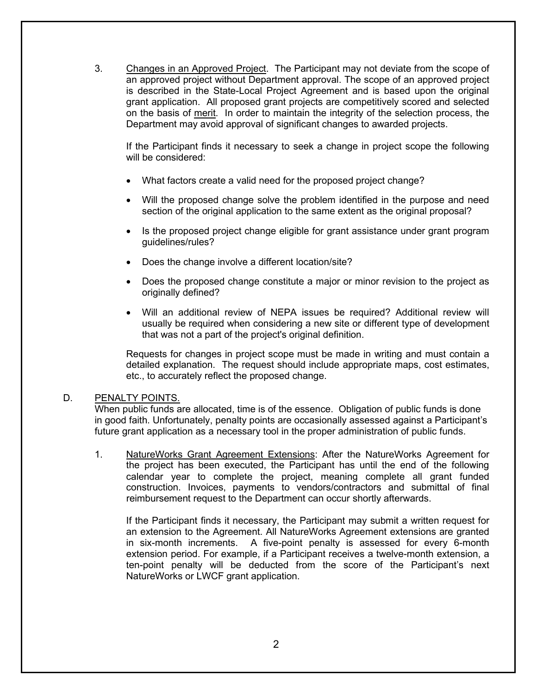3. Changes in an Approved Project. The Participant may not deviate from the scope of an approved project without Department approval. The scope of an approved project is described in the State-Local Project Agreement and is based upon the original grant application. All proposed grant projects are competitively scored and selected on the basis of merit. In order to maintain the integrity of the selection process, the Department may avoid approval of significant changes to awarded projects.

If the Participant finds it necessary to seek a change in project scope the following will be considered:

- What factors create a valid need for the proposed project change?
- Will the proposed change solve the problem identified in the purpose and need section of the original application to the same extent as the original proposal?
- Is the proposed project change eligible for grant assistance under grant program guidelines/rules?
- Does the change involve a different location/site?
- Does the proposed change constitute a major or minor revision to the project as originally defined?
- Will an additional review of NEPA issues be required? Additional review will usually be required when considering a new site or different type of development that was not a part of the project's original definition.

Requests for changes in project scope must be made in writing and must contain a detailed explanation. The request should include appropriate maps, cost estimates, etc., to accurately reflect the proposed change.

#### D. PENALTY POINTS.

When public funds are allocated, time is of the essence. Obligation of public funds is done in good faith. Unfortunately, penalty points are occasionally assessed against a Participant's future grant application as a necessary tool in the proper administration of public funds.

1. NatureWorks Grant Agreement Extensions: After the NatureWorks Agreement for the project has been executed, the Participant has until the end of the following calendar year to complete the project, meaning complete all grant funded construction. Invoices, payments to vendors/contractors and submittal of final reimbursement request to the Department can occur shortly afterwards.

If the Participant finds it necessary, the Participant may submit a written request for an extension to the Agreement. All NatureWorks Agreement extensions are granted in six-month increments. A five-point penalty is assessed for every 6-month extension period. For example, if a Participant receives a twelve-month extension, a ten-point penalty will be deducted from the score of the Participant's next NatureWorks or LWCF grant application.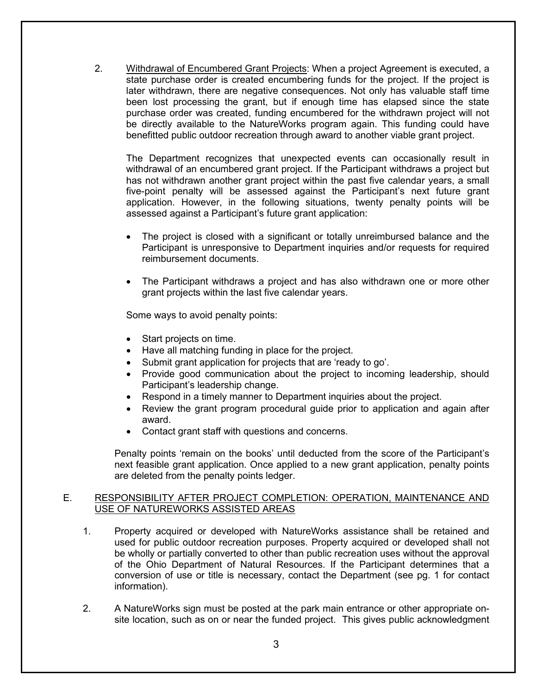2. Withdrawal of Encumbered Grant Projects: When a project Agreement is executed, a state purchase order is created encumbering funds for the project. If the project is later withdrawn, there are negative consequences. Not only has valuable staff time been lost processing the grant, but if enough time has elapsed since the state purchase order was created, funding encumbered for the withdrawn project will not be directly available to the NatureWorks program again. This funding could have benefitted public outdoor recreation through award to another viable grant project.

The Department recognizes that unexpected events can occasionally result in withdrawal of an encumbered grant project. If the Participant withdraws a project but has not withdrawn another grant project within the past five calendar years, a small five-point penalty will be assessed against the Participant's next future grant application. However, in the following situations, twenty penalty points will be assessed against a Participant's future grant application:

- The project is closed with a significant or totally unreimbursed balance and the Participant is unresponsive to Department inquiries and/or requests for required reimbursement documents.
- The Participant withdraws a project and has also withdrawn one or more other grant projects within the last five calendar years.

Some ways to avoid penalty points:

- Start projects on time.
- Have all matching funding in place for the project.
- Submit grant application for projects that are 'ready to go'.
- Provide good communication about the project to incoming leadership, should Participant's leadership change.
- Respond in a timely manner to Department inquiries about the project.
- Review the grant program procedural guide prior to application and again after award.
- Contact grant staff with questions and concerns.

Penalty points 'remain on the books' until deducted from the score of the Participant's next feasible grant application. Once applied to a new grant application, penalty points are deleted from the penalty points ledger.

#### E. RESPONSIBILITY AFTER PROJECT COMPLETION: OPERATION, MAINTENANCE AND USE OF NATUREWORKS ASSISTED AREAS

- 1. Property acquired or developed with NatureWorks assistance shall be retained and used for public outdoor recreation purposes. Property acquired or developed shall not be wholly or partially converted to other than public recreation uses without the approval of the Ohio Department of Natural Resources. If the Participant determines that a conversion of use or title is necessary, contact the Department (see pg. 1 for contact information).
- 2. A NatureWorks sign must be posted at the park main entrance or other appropriate onsite location, such as on or near the funded project. This gives public acknowledgment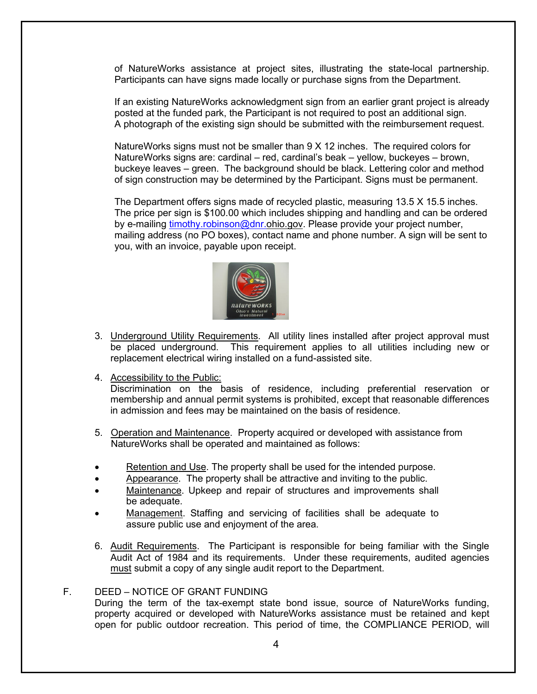of NatureWorks assistance at project sites, illustrating the state-local partnership. Participants can have signs made locally or purchase signs from the Department.

If an existing NatureWorks acknowledgment sign from an earlier grant project is already posted at the funded park, the Participant is not required to post an additional sign. A photograph of the existing sign should be submitted with the reimbursement request.

NatureWorks signs must not be smaller than 9 X 12 inches. The required colors for NatureWorks signs are: cardinal – red, cardinal's beak – yellow, buckeyes – brown, buckeye leaves – green. The background should be black. Lettering color and method of sign construction may be determined by the Participant. Signs must be permanent.

The Department offers signs made of recycled plastic, measuring 13.5 X 15.5 inches. The price per sign is \$100.00 which includes shipping and handling and can be ordered by e-mailing [timothy.robinson@dnr.o](mailto:timothy.robinson@dnr.)hio.gov. Please provide your project number, mailing address (no PO boxes), contact name and phone number. A sign will be sent to you, with an invoice, payable upon receipt.



- 3. Underground Utility Requirements. All utility lines installed after project approval must be placed underground. This requirement applies to all utilities including new or replacement electrical wiring installed on a fund-assisted site.
- 4. Accessibility to the Public:

Discrimination on the basis of residence, including preferential reservation or membership and annual permit systems is prohibited, except that reasonable differences in admission and fees may be maintained on the basis of residence.

- 5. Operation and Maintenance. Property acquired or developed with assistance from NatureWorks shall be operated and maintained as follows:
- Retention and Use. The property shall be used for the intended purpose.
- Appearance. The property shall be attractive and inviting to the public.
- Maintenance. Upkeep and repair of structures and improvements shall be adequate.
- Management. Staffing and servicing of facilities shall be adequate to assure public use and enjoyment of the area.
- 6. Audit Requirements. The Participant is responsible for being familiar with the Single Audit Act of 1984 and its requirements. Under these requirements, audited agencies must submit a copy of any single audit report to the Department.

#### F. DEED – NOTICE OF GRANT FUNDING

During the term of the tax-exempt state bond issue, source of NatureWorks funding, property acquired or developed with NatureWorks assistance must be retained and kept open for public outdoor recreation. This period of time, the COMPLIANCE PERIOD, will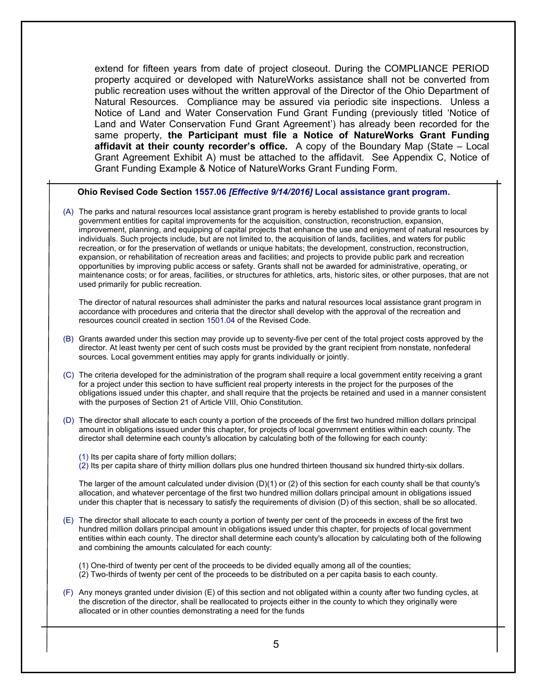extend for fifteen years from date of project closeout. During the COMPLIANCE PERIOD property acquired or developed with NatureWorks assistance shall not be converted from public recreation uses without the written approval of the Director of the Ohio Department of Natural Resources. Compliance may be assured via periodic site inspections. Unless a Notice of Land and Water Conservation Fund Grant Funding (previously titled 'Notice of Land and Water Conservation Fund Grant Agreement') has already been recorded for the same property, **the Participant must file a Notice of NatureWorks Grant Funding affidavit at their county recorder's office.** A copy of the Boundary Map (State – Local Grant Agreement Exhibit A) must be attached to the affidavit. See Appendix C, Notice of Grant Funding Example & Notice of NatureWorks Grant Funding Form.

#### **Ohio Revised Code Section 1557.06** *[Effective 9/14/2016]* **[Local assistance grant program.](http://codes.ohio.gov/orc/1557.06v2)**

(A) The parks and natural resources local assistance grant program is hereby established to provide grants to local government entities for capital improvements for the acquisition, construction, reconstruction, expansion, improvement, planning, and equipping of capital projects that enhance the use and enjoyment of natural resources by individuals. Such projects include, but are not limited to, the acquisition of lands, facilities, and waters for public recreation, or for the preservation of wetlands or unique habitats; the development, construction, reconstruction, expansion, or rehabilitation of recreation areas and facilities; and projects to provide public park and recreation opportunities by improving public access or safety. Grants shall not be awarded for administrative, operating, or maintenance costs; or for areas, facilities, or structures for athletics, arts, historic sites, or other purposes, that are not used primarily for public recreation.

The director of natural resources shall administer the parks and natural resources local assistance grant program in accordance with procedures and criteria that the director shall develop with the approval of the recreation and resources council created in sectio[n 1501.04](http://codes.ohio.gov/orc/1501.04) of the Revised Code.

- (B) Grants awarded under this section may provide up to seventy-five per cent of the total project costs approved by the director. At least twenty per cent of such costs must be provided by the grant recipient from nonstate, nonfederal sources. Local government entities may apply for grants individually or jointly.
- (C) The criteria developed for the administration of the program shall require a local government entity receiving a grant for a project under this section to have sufficient real property interests in the project for the purposes of the obligations issued under this chapter, and shall require that the projects be retained and used in a manner consistent with the purposes of Section 21 of Article VIII, Ohio Constitution.

(D) The director shall allocate to each county a portion of the proceeds of the first two hundred million dollars principal amount in obligations issued under this chapter, for projects of local government entities within each county. The director shall determine each county's allocation by calculating both of the following for each county:

(1) Its per capita share of forty million dollars;

(2) Its per capita share of thirty million dollars plus one hundred thirteen thousand six hundred thirty-six dollars.

The larger of the amount calculated under division (D)(1) or (2) of this section for each county shall be that county's allocation, and whatever percentage of the first two hundred million dollars principal amount in obligations issued under this chapter that is necessary to satisfy the requirements of division (D) of this section, shall be so allocated.

- (E) The director shall allocate to each county a portion of twenty per cent of the proceeds in excess of the first two hundred million dollars principal amount in obligations issued under this chapter, for projects of local government entities within each county. The director shall determine each county's allocation by calculating both of the following and combining the amounts calculated for each county:
	- (1) One-third of twenty per cent of the proceeds to be divided equally among all of the counties;
	- (2) Two-thirds of twenty per cent of the proceeds to be distributed on a per capita basis to each county.
- (F) Any moneys granted under division (E) of this section and not obligated within a county after two funding cycles, at the discretion of the director, shall be reallocated to projects either in the county to which they originally were allocated or in other counties demonstrating a need for the funds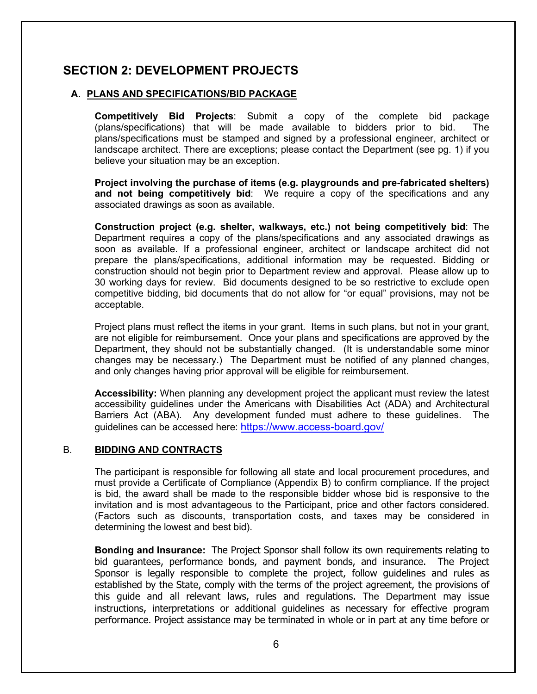## **SECTION 2: DEVELOPMENT PROJECTS**

## **A. PLANS AND SPECIFICATIONS/BID PACKAGE**

**Competitively Bid Projects**: Submit a copy of the complete bid package (plans/specifications) that will be made available to bidders prior to bid. The plans/specifications must be stamped and signed by a professional engineer, architect or landscape architect. There are exceptions; please contact the Department (see pg. 1) if you believe your situation may be an exception.

**Project involving the purchase of items (e.g. playgrounds and pre-fabricated shelters) and not being competitively bid**: We require a copy of the specifications and any associated drawings as soon as available.

**Construction project (e.g. shelter, walkways, etc.) not being competitively bid**: The Department requires a copy of the plans/specifications and any associated drawings as soon as available. If a professional engineer, architect or landscape architect did not prepare the plans/specifications, additional information may be requested. Bidding or construction should not begin prior to Department review and approval. Please allow up to 30 working days for review. Bid documents designed to be so restrictive to exclude open competitive bidding, bid documents that do not allow for "or equal" provisions, may not be acceptable.

Project plans must reflect the items in your grant. Items in such plans, but not in your grant, are not eligible for reimbursement. Once your plans and specifications are approved by the Department, they should not be substantially changed. (It is understandable some minor changes may be necessary.) The Department must be notified of any planned changes, and only changes having prior approval will be eligible for reimbursement.

**Accessibility:** When planning any development project the applicant must review the latest accessibility guidelines under the Americans with Disabilities Act (ADA) and Architectural Barriers Act (ABA). Any development funded must adhere to these guidelines. The guidelines can be accessed here:<https://www.access-board.gov/>

#### B. **BIDDING AND CONTRACTS**

The participant is responsible for following all state and local procurement procedures, and must provide a Certificate of Compliance (Appendix B) to confirm compliance. If the project is bid, the award shall be made to the responsible bidder whose bid is responsive to the invitation and is most advantageous to the Participant, price and other factors considered. (Factors such as discounts, transportation costs, and taxes may be considered in determining the lowest and best bid).

**Bonding and Insurance:** The Project Sponsor shall follow its own requirements relating to bid guarantees, performance bonds, and payment bonds, and insurance. The Project Sponsor is legally responsible to complete the project, follow guidelines and rules as established by the State, comply with the terms of the project agreement, the provisions of this guide and all relevant laws, rules and regulations. The Department may issue instructions, interpretations or additional guidelines as necessary for effective program performance. Project assistance may be terminated in whole or in part at any time before or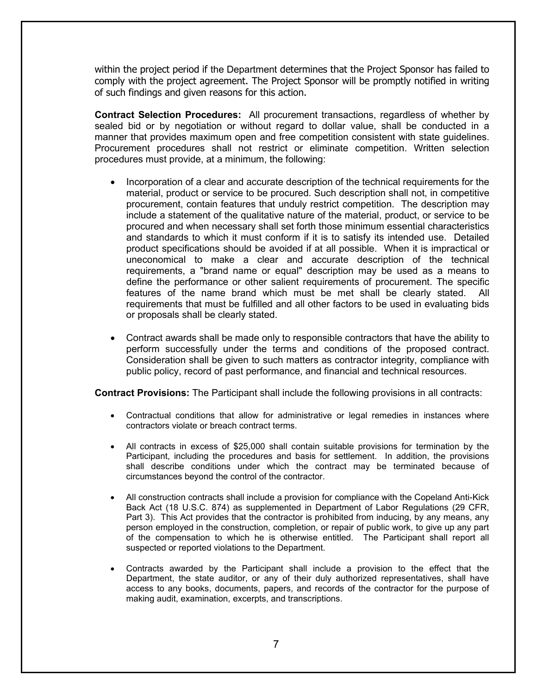within the project period if the Department determines that the Project Sponsor has failed to comply with the project agreement. The Project Sponsor will be promptly notified in writing of such findings and given reasons for this action.

**Contract Selection Procedures:** All procurement transactions, regardless of whether by sealed bid or by negotiation or without regard to dollar value, shall be conducted in a manner that provides maximum open and free competition consistent with state guidelines. Procurement procedures shall not restrict or eliminate competition. Written selection procedures must provide, at a minimum, the following:

- Incorporation of a clear and accurate description of the technical requirements for the material, product or service to be procured. Such description shall not, in competitive procurement, contain features that unduly restrict competition. The description may include a statement of the qualitative nature of the material, product, or service to be procured and when necessary shall set forth those minimum essential characteristics and standards to which it must conform if it is to satisfy its intended use. Detailed product specifications should be avoided if at all possible. When it is impractical or uneconomical to make a clear and accurate description of the technical requirements, a "brand name or equal" description may be used as a means to define the performance or other salient requirements of procurement. The specific features of the name brand which must be met shall be clearly stated. All requirements that must be fulfilled and all other factors to be used in evaluating bids or proposals shall be clearly stated.
- Contract awards shall be made only to responsible contractors that have the ability to perform successfully under the terms and conditions of the proposed contract. Consideration shall be given to such matters as contractor integrity, compliance with public policy, record of past performance, and financial and technical resources.

**Contract Provisions:** The Participant shall include the following provisions in all contracts:

- Contractual conditions that allow for administrative or legal remedies in instances where contractors violate or breach contract terms.
- All contracts in excess of \$25,000 shall contain suitable provisions for termination by the Participant, including the procedures and basis for settlement. In addition, the provisions shall describe conditions under which the contract may be terminated because of circumstances beyond the control of the contractor.
- All construction contracts shall include a provision for compliance with the Copeland Anti-Kick Back Act (18 U.S.C. 874) as supplemented in Department of Labor Regulations (29 CFR, Part 3). This Act provides that the contractor is prohibited from inducing, by any means, any person employed in the construction, completion, or repair of public work, to give up any part of the compensation to which he is otherwise entitled. The Participant shall report all suspected or reported violations to the Department.
- Contracts awarded by the Participant shall include a provision to the effect that the Department, the state auditor, or any of their duly authorized representatives, shall have access to any books, documents, papers, and records of the contractor for the purpose of making audit, examination, excerpts, and transcriptions.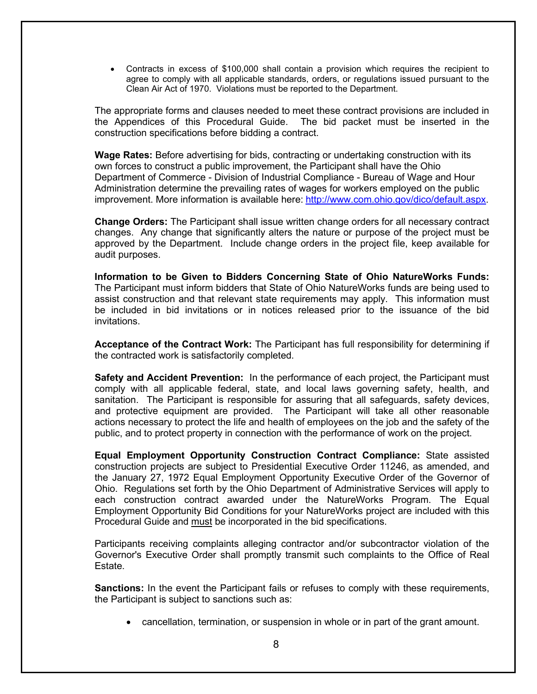• Contracts in excess of \$100,000 shall contain a provision which requires the recipient to agree to comply with all applicable standards, orders, or regulations issued pursuant to the Clean Air Act of 1970. Violations must be reported to the Department.

The appropriate forms and clauses needed to meet these contract provisions are included in the Appendices of this Procedural Guide. The bid packet must be inserted in the construction specifications before bidding a contract.

**Wage Rates:** Before advertising for bids, contracting or undertaking construction with its own forces to construct a public improvement, the Participant shall have the Ohio Department of Commerce - Division of Industrial Compliance - Bureau of Wage and Hour Administration determine the prevailing rates of wages for workers employed on the public improvement. More information is available here: [http://www.com.ohio.gov/dico/default.aspx.](http://www.com.ohio.gov/dico/default.aspx)

**Change Orders:** The Participant shall issue written change orders for all necessary contract changes. Any change that significantly alters the nature or purpose of the project must be approved by the Department. Include change orders in the project file, keep available for audit purposes.

**Information to be Given to Bidders Concerning State of Ohio NatureWorks Funds:**  The Participant must inform bidders that State of Ohio NatureWorks funds are being used to assist construction and that relevant state requirements may apply. This information must be included in bid invitations or in notices released prior to the issuance of the bid invitations.

**Acceptance of the Contract Work:** The Participant has full responsibility for determining if the contracted work is satisfactorily completed.

**Safety and Accident Prevention:** In the performance of each project, the Participant must comply with all applicable federal, state, and local laws governing safety, health, and sanitation. The Participant is responsible for assuring that all safeguards, safety devices, and protective equipment are provided. The Participant will take all other reasonable actions necessary to protect the life and health of employees on the job and the safety of the public, and to protect property in connection with the performance of work on the project.

**Equal Employment Opportunity Construction Contract Compliance:** State assisted construction projects are subject to Presidential Executive Order 11246, as amended, and the January 27, 1972 Equal Employment Opportunity Executive Order of the Governor of Ohio. Regulations set forth by the Ohio Department of Administrative Services will apply to each construction contract awarded under the NatureWorks Program. The Equal Employment Opportunity Bid Conditions for your NatureWorks project are included with this Procedural Guide and must be incorporated in the bid specifications.

Participants receiving complaints alleging contractor and/or subcontractor violation of the Governor's Executive Order shall promptly transmit such complaints to the Office of Real Estate.

**Sanctions:** In the event the Participant fails or refuses to comply with these requirements, the Participant is subject to sanctions such as:

• cancellation, termination, or suspension in whole or in part of the grant amount.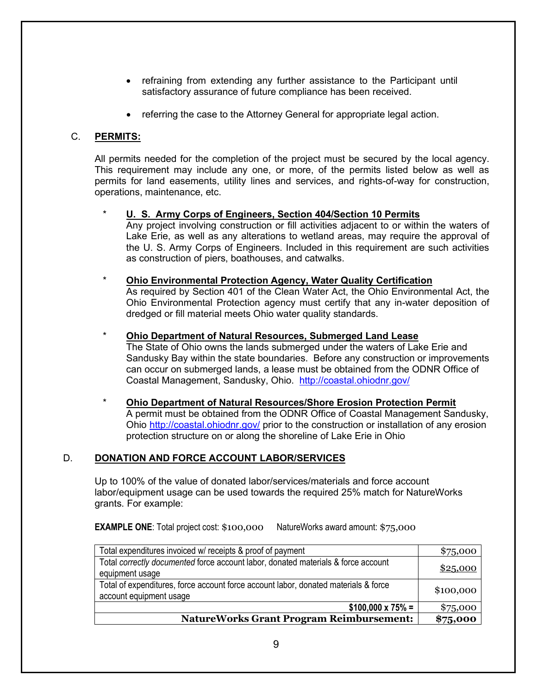- refraining from extending any further assistance to the Participant until satisfactory assurance of future compliance has been received.
- referring the case to the Attorney General for appropriate legal action.

## C. **PERMITS:**

All permits needed for the completion of the project must be secured by the local agency. This requirement may include any one, or more, of the permits listed below as well as permits for land easements, utility lines and services, and rights-of-way for construction, operations, maintenance, etc.

## \* **U. S. Army Corps of Engineers, Section 404/Section 10 Permits**

Any project involving construction or fill activities adjacent to or within the waters of Lake Erie, as well as any alterations to wetland areas, may require the approval of the U. S. Army Corps of Engineers. Included in this requirement are such activities as construction of piers, boathouses, and catwalks.

## \* **Ohio Environmental Protection Agency, Water Quality Certification**

As required by Section 401 of the Clean Water Act, the Ohio Environmental Act, the Ohio Environmental Protection agency must certify that any in-water deposition of dredged or fill material meets Ohio water quality standards.

#### \* **Ohio Department of Natural Resources, Submerged Land Lease**

The State of Ohio owns the lands submerged under the waters of Lake Erie and Sandusky Bay within the state boundaries. Before any construction or improvements can occur on submerged lands, a lease must be obtained from the ODNR Office of Coastal Management, Sandusky, Ohio. <http://coastal.ohiodnr.gov/>

#### \* **Ohio Department of Natural Resources/Shore Erosion Protection Permit** A permit must be obtained from the ODNR Office of Coastal Management Sandusky, Ohio <http://coastal.ohiodnr.gov/> prior to the construction or installation of any erosion protection structure on or along the shoreline of Lake Erie in Ohio

## D. **DONATION AND FORCE ACCOUNT LABOR/SERVICES**

Up to 100% of the value of donated labor/services/materials and force account labor/equipment usage can be used towards the required 25% match for NatureWorks grants. For example:

**EXAMPLE ONE:** Total project cost: \$100,000 NatureWorks award amount: \$75,000

| Total expenditures invoiced w/ receipts & proof of payment                                                     | \$75,000  |
|----------------------------------------------------------------------------------------------------------------|-----------|
| Total correctly documented force account labor, donated materials & force account<br>equipment usage           | \$25,000  |
| Total of expenditures, force account force account labor, donated materials & force<br>account equipment usage | \$100,000 |
| $$100,000 \times 75\% =$                                                                                       | \$75,000  |
| <b>NatureWorks Grant Program Reimbursement:</b>                                                                | \$75,000  |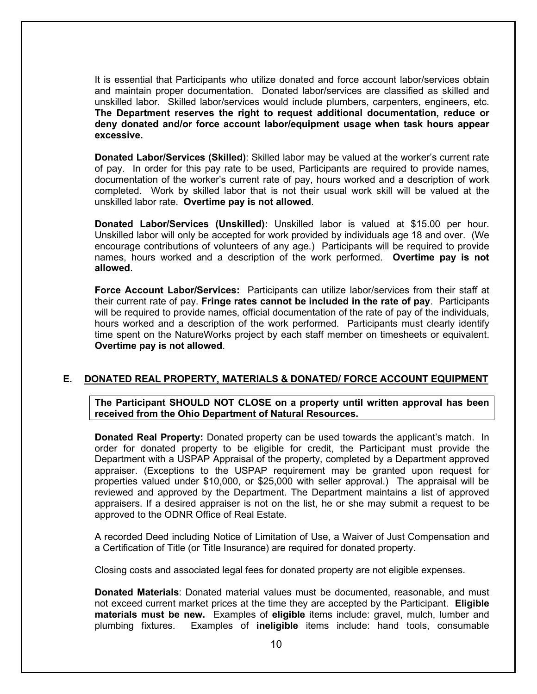It is essential that Participants who utilize donated and force account labor/services obtain and maintain proper documentation. Donated labor/services are classified as skilled and unskilled labor. Skilled labor/services would include plumbers, carpenters, engineers, etc. **The Department reserves the right to request additional documentation, reduce or deny donated and/or force account labor/equipment usage when task hours appear excessive.** 

**Donated Labor/Services (Skilled)**: Skilled labor may be valued at the worker's current rate of pay. In order for this pay rate to be used, Participants are required to provide names, documentation of the worker's current rate of pay, hours worked and a description of work completed. Work by skilled labor that is not their usual work skill will be valued at the unskilled labor rate. **Overtime pay is not allowed**.

**Donated Labor/Services (Unskilled):** Unskilled labor is valued at \$15.00 per hour. Unskilled labor will only be accepted for work provided by individuals age 18 and over. (We encourage contributions of volunteers of any age.) Participants will be required to provide names, hours worked and a description of the work performed. **Overtime pay is not allowed**.

**Force Account Labor/Services:** Participants can utilize labor/services from their staff at their current rate of pay. **Fringe rates cannot be included in the rate of pay**. Participants will be required to provide names, official documentation of the rate of pay of the individuals, hours worked and a description of the work performed. Participants must clearly identify time spent on the NatureWorks project by each staff member on timesheets or equivalent. **Overtime pay is not allowed**.

#### **E. DONATED REAL PROPERTY, MATERIALS & DONATED/ FORCE ACCOUNT EQUIPMENT**

**The Participant SHOULD NOT CLOSE on a property until written approval has been received from the Ohio Department of Natural Resources.**

**Donated Real Property:** Donated property can be used towards the applicant's match. In order for donated property to be eligible for credit, the Participant must provide the Department with a USPAP Appraisal of the property, completed by a Department approved appraiser. (Exceptions to the USPAP requirement may be granted upon request for properties valued under \$10,000, or \$25,000 with seller approval.) The appraisal will be reviewed and approved by the Department. The Department maintains a list of approved appraisers. If a desired appraiser is not on the list, he or she may submit a request to be approved to the ODNR Office of Real Estate.

A recorded Deed including Notice of Limitation of Use, a Waiver of Just Compensation and a Certification of Title (or Title Insurance) are required for donated property.

Closing costs and associated legal fees for donated property are not eligible expenses.

**Donated Materials**: Donated material values must be documented, reasonable, and must not exceed current market prices at the time they are accepted by the Participant. **Eligible materials must be new.** Examples of **eligible** items include: gravel, mulch, lumber and plumbing fixtures. Examples of **ineligible** items include: hand tools, consumable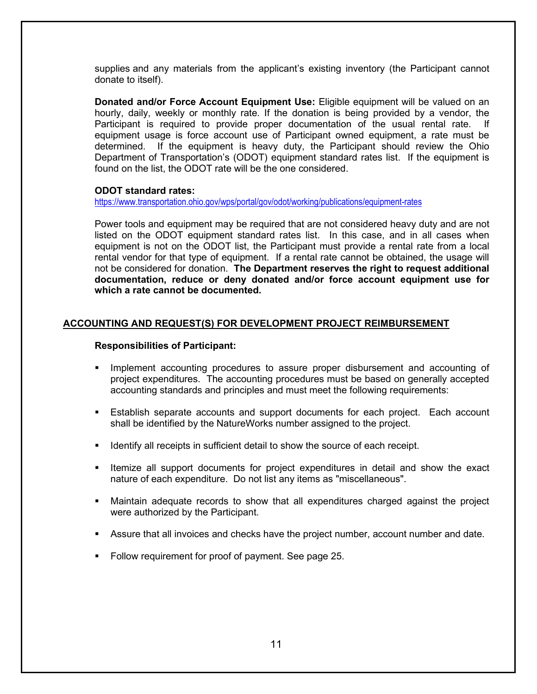supplies and any materials from the applicant's existing inventory (the Participant cannot donate to itself).

**Donated and/or Force Account Equipment Use:** Eligible equipment will be valued on an hourly, daily, weekly or monthly rate. If the donation is being provided by a vendor, the Participant is required to provide proper documentation of the usual rental rate. equipment usage is force account use of Participant owned equipment, a rate must be determined. If the equipment is heavy duty, the Participant should review the Ohio Department of Transportation's (ODOT) equipment standard rates list. If the equipment is found on the list, the ODOT rate will be the one considered.

#### **ODOT standard rates:**

<https://www.transportation.ohio.gov/wps/portal/gov/odot/working/publications/equipment-rates>

Power tools and equipment may be required that are not considered heavy duty and are not listed on the ODOT equipment standard rates list. In this case, and in all cases when equipment is not on the ODOT list, the Participant must provide a rental rate from a local rental vendor for that type of equipment. If a rental rate cannot be obtained, the usage will not be considered for donation. **The Department reserves the right to request additional documentation, reduce or deny donated and/or force account equipment use for which a rate cannot be documented.** 

#### **ACCOUNTING AND REQUEST(S) FOR DEVELOPMENT PROJECT REIMBURSEMENT**

#### **Responsibilities of Participant:**

- Implement accounting procedures to assure proper disbursement and accounting of project expenditures. The accounting procedures must be based on generally accepted accounting standards and principles and must meet the following requirements:
- Establish separate accounts and support documents for each project. Each account shall be identified by the NatureWorks number assigned to the project.
- **IDENTIFY ALL TEACH IS SET UP TO SHOW THE SOLART SHOT IS CONTEX** IDENTIFY 10 IDENTIFY.
- **Itemize all support documents for project expenditures in detail and show the exact** nature of each expenditure. Do not list any items as "miscellaneous".
- Maintain adequate records to show that all expenditures charged against the project were authorized by the Participant.
- Assure that all invoices and checks have the project number, account number and date.
- Follow requirement for proof of payment. See page 25.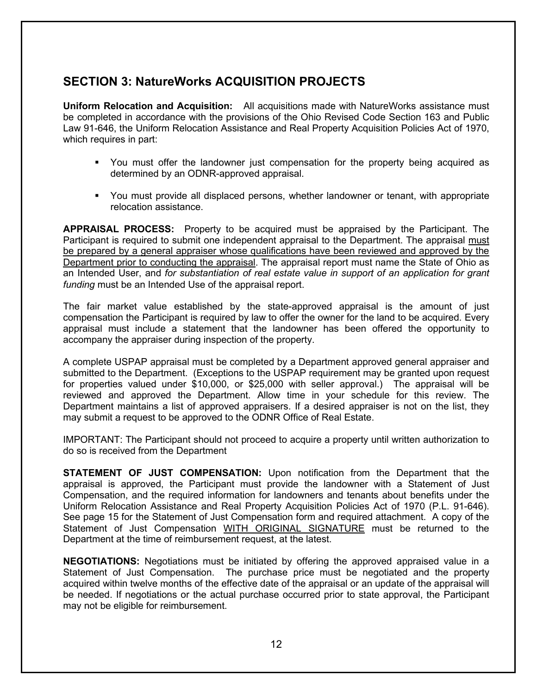## **SECTION 3: NatureWorks ACQUISITION PROJECTS**

**Uniform Relocation and Acquisition:** All acquisitions made with NatureWorks assistance must be completed in accordance with the provisions of the Ohio Revised Code Section 163 and Public Law 91-646, the Uniform Relocation Assistance and Real Property Acquisition Policies Act of 1970, which requires in part:

- You must offer the landowner just compensation for the property being acquired as determined by an ODNR-approved appraisal.
- You must provide all displaced persons, whether landowner or tenant, with appropriate relocation assistance.

**APPRAISAL PROCESS:** Property to be acquired must be appraised by the Participant. The Participant is required to submit one independent appraisal to the Department. The appraisal must be prepared by a general appraiser whose qualifications have been reviewed and approved by the Department prior to conducting the appraisal. The appraisal report must name the State of Ohio as an Intended User, and *for substantiation of real estate value in support of an application for grant funding* must be an Intended Use of the appraisal report.

The fair market value established by the state-approved appraisal is the amount of just compensation the Participant is required by law to offer the owner for the land to be acquired. Every appraisal must include a statement that the landowner has been offered the opportunity to accompany the appraiser during inspection of the property.

A complete USPAP appraisal must be completed by a Department approved general appraiser and submitted to the Department. (Exceptions to the USPAP requirement may be granted upon request for properties valued under \$10,000, or \$25,000 with seller approval.) The appraisal will be reviewed and approved the Department. Allow time in your schedule for this review. The Department maintains a list of approved appraisers. If a desired appraiser is not on the list, they may submit a request to be approved to the ODNR Office of Real Estate.

IMPORTANT: The Participant should not proceed to acquire a property until written authorization to do so is received from the Department

**STATEMENT OF JUST COMPENSATION:** Upon notification from the Department that the appraisal is approved, the Participant must provide the landowner with a Statement of Just Compensation, and the required information for landowners and tenants about benefits under the Uniform Relocation Assistance and Real Property Acquisition Policies Act of 1970 (P.L. 91-646). See page 15 for the Statement of Just Compensation form and required attachment. A copy of the Statement of Just Compensation WITH ORIGINAL SIGNATURE must be returned to the Department at the time of reimbursement request, at the latest.

**NEGOTIATIONS:** Negotiations must be initiated by offering the approved appraised value in a Statement of Just Compensation. The purchase price must be negotiated and the property acquired within twelve months of the effective date of the appraisal or an update of the appraisal will be needed. If negotiations or the actual purchase occurred prior to state approval, the Participant may not be eligible for reimbursement.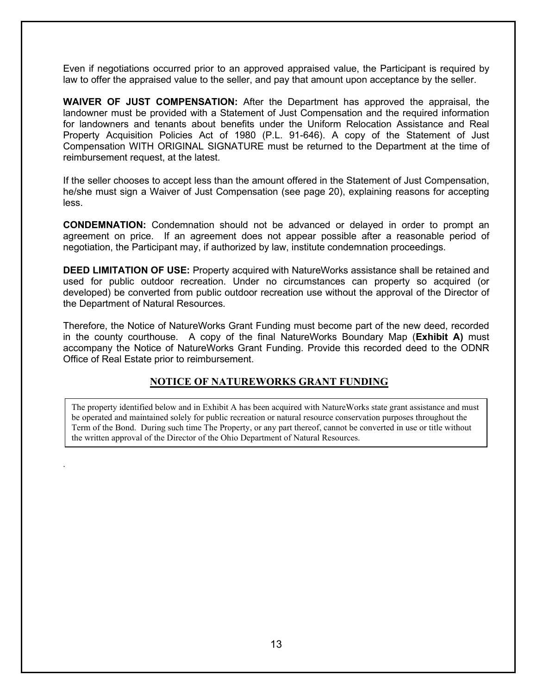Even if negotiations occurred prior to an approved appraised value, the Participant is required by law to offer the appraised value to the seller, and pay that amount upon acceptance by the seller.

**WAIVER OF JUST COMPENSATION:** After the Department has approved the appraisal, the landowner must be provided with a Statement of Just Compensation and the required information for landowners and tenants about benefits under the Uniform Relocation Assistance and Real Property Acquisition Policies Act of 1980 (P.L. 91-646). A copy of the Statement of Just Compensation WITH ORIGINAL SIGNATURE must be returned to the Department at the time of reimbursement request, at the latest.

If the seller chooses to accept less than the amount offered in the Statement of Just Compensation, he/she must sign a Waiver of Just Compensation (see page 20), explaining reasons for accepting less.

**CONDEMNATION:** Condemnation should not be advanced or delayed in order to prompt an agreement on price. If an agreement does not appear possible after a reasonable period of negotiation, the Participant may, if authorized by law, institute condemnation proceedings.

**DEED LIMITATION OF USE:** Property acquired with NatureWorks assistance shall be retained and used for public outdoor recreation. Under no circumstances can property so acquired (or developed) be converted from public outdoor recreation use without the approval of the Director of the Department of Natural Resources.

Therefore, the Notice of NatureWorks Grant Funding must become part of the new deed, recorded in the county courthouse. A copy of the final NatureWorks Boundary Map (**Exhibit A)** must accompany the Notice of NatureWorks Grant Funding. Provide this recorded deed to the ODNR Office of Real Estate prior to reimbursement.

## **NOTICE OF NATUREWORKS GRANT FUNDING**

The property identified below and in Exhibit A has been acquired with NatureWorks state grant assistance and must be operated and maintained solely for public recreation or natural resource conservation purposes throughout the Term of the Bond. During such time The Property, or any part thereof, cannot be converted in use or title without the written approval of the Director of the Ohio Department of Natural Resources.

.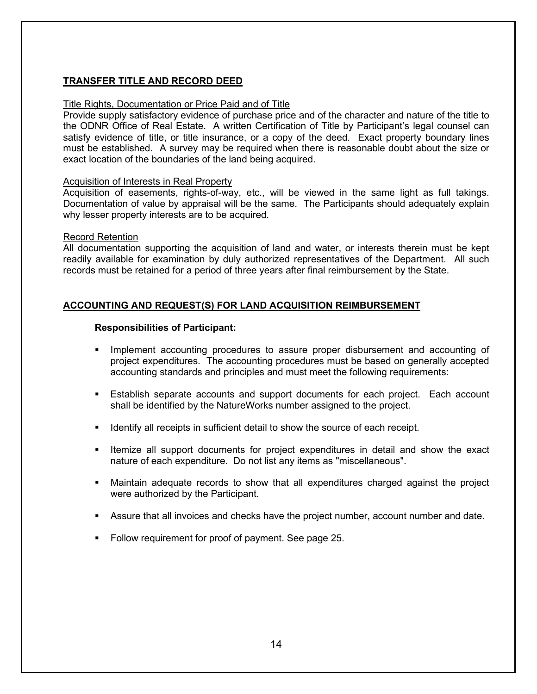## **TRANSFER TITLE AND RECORD DEED**

#### Title Rights, Documentation or Price Paid and of Title

Provide supply satisfactory evidence of purchase price and of the character and nature of the title to the ODNR Office of Real Estate. A written Certification of Title by Participant's legal counsel can satisfy evidence of title, or title insurance, or a copy of the deed. Exact property boundary lines must be established. A survey may be required when there is reasonable doubt about the size or exact location of the boundaries of the land being acquired.

#### Acquisition of Interests in Real Property

Acquisition of easements, rights-of-way, etc., will be viewed in the same light as full takings. Documentation of value by appraisal will be the same. The Participants should adequately explain why lesser property interests are to be acquired.

#### Record Retention

All documentation supporting the acquisition of land and water, or interests therein must be kept readily available for examination by duly authorized representatives of the Department. All such records must be retained for a period of three years after final reimbursement by the State.

#### **ACCOUNTING AND REQUEST(S) FOR LAND ACQUISITION REIMBURSEMENT**

#### **Responsibilities of Participant:**

- **IMPLEMENTE 10** Implement accounting procedures to assure proper disbursement and accounting of project expenditures. The accounting procedures must be based on generally accepted accounting standards and principles and must meet the following requirements:
- Establish separate accounts and support documents for each project. Each account shall be identified by the NatureWorks number assigned to the project.
- I dentify all receipts in sufficient detail to show the source of each receipt.
- **Itemize all support documents for project expenditures in detail and show the exact** nature of each expenditure. Do not list any items as "miscellaneous".
- Maintain adequate records to show that all expenditures charged against the project were authorized by the Participant.
- Assure that all invoices and checks have the project number, account number and date.
- Follow requirement for proof of payment. See page 25.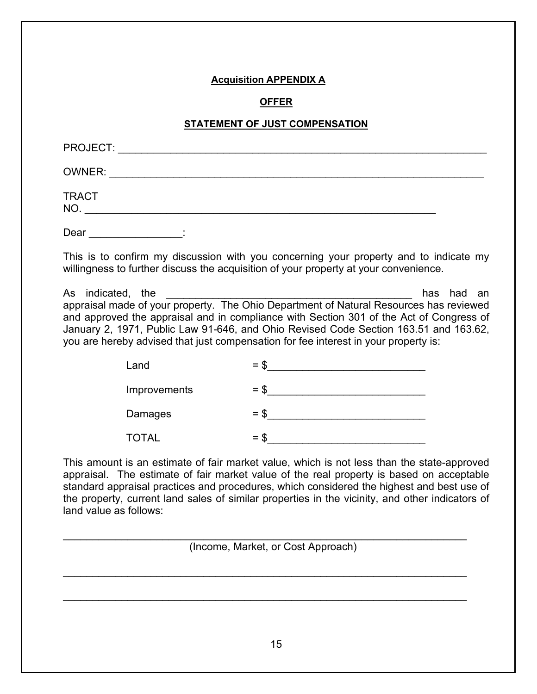## **Acquisition APPENDIX A**

#### **OFFER**

#### **STATEMENT OF JUST COMPENSATION**

| PROJECT:                  |  |  |  |
|---------------------------|--|--|--|
| OWNER:                    |  |  |  |
| <b>TRACT</b><br><b>NO</b> |  |  |  |
|                           |  |  |  |

Dear <u>the contract of</u> the contract of the contract of the contract of the contract of the contract of the contract of the contract of the contract of the contract of the contract of the contract of the contract of the con

This is to confirm my discussion with you concerning your property and to indicate my willingness to further discuss the acquisition of your property at your convenience.

As indicated, the  $\overline{\phantom{a}}$  the  $\overline{\phantom{a}}$ appraisal made of your property. The Ohio Department of Natural Resources has reviewed and approved the appraisal and in compliance with Section 301 of the Act of Congress of January 2, 1971, Public Law 91-646, and Ohio Revised Code Section 163.51 and 163.62, you are hereby advised that just compensation for fee interest in your property is:

| Land         | $=$ \$ |
|--------------|--------|
| Improvements | $=$ \$ |
| Damages      | $=$ \$ |
| <b>TOTAL</b> | $=$ \$ |

This amount is an estimate of fair market value, which is not less than the state-approved appraisal. The estimate of fair market value of the real property is based on acceptable standard appraisal practices and procedures, which considered the highest and best use of the property, current land sales of similar properties in the vicinity, and other indicators of land value as follows:

(Income, Market, or Cost Approach)

\_\_\_\_\_\_\_\_\_\_\_\_\_\_\_\_\_\_\_\_\_\_\_\_\_\_\_\_\_\_\_\_\_\_\_\_\_\_\_\_\_\_\_\_\_\_\_\_\_\_\_\_\_\_\_\_\_\_\_\_\_\_\_\_\_\_\_\_\_

\_\_\_\_\_\_\_\_\_\_\_\_\_\_\_\_\_\_\_\_\_\_\_\_\_\_\_\_\_\_\_\_\_\_\_\_\_\_\_\_\_\_\_\_\_\_\_\_\_\_\_\_\_\_\_\_\_\_\_\_\_\_\_\_\_\_\_\_\_

\_\_\_\_\_\_\_\_\_\_\_\_\_\_\_\_\_\_\_\_\_\_\_\_\_\_\_\_\_\_\_\_\_\_\_\_\_\_\_\_\_\_\_\_\_\_\_\_\_\_\_\_\_\_\_\_\_\_\_\_\_\_\_\_\_\_\_\_\_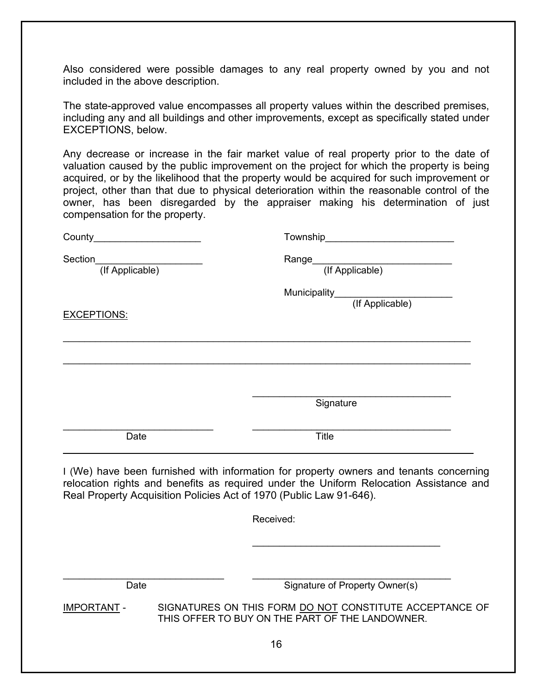Also considered were possible damages to any real property owned by you and not included in the above description.

The state-approved value encompasses all property values within the described premises, including any and all buildings and other improvements, except as specifically stated under EXCEPTIONS, below.

Any decrease or increase in the fair market value of real property prior to the date of valuation caused by the public improvement on the project for which the property is being acquired, or by the likelihood that the property would be acquired for such improvement or project, other than that due to physical deterioration within the reasonable control of the owner, has been disregarded by the appraiser making his determination of just compensation for the property.

| County                                                              | Township____________________________                                                                                                                                             |
|---------------------------------------------------------------------|----------------------------------------------------------------------------------------------------------------------------------------------------------------------------------|
| Section<br>(If Applicable)                                          | (If Applicable)<br>Range_                                                                                                                                                        |
| <b>EXCEPTIONS:</b>                                                  | Municipality<br>(If Applicable)                                                                                                                                                  |
|                                                                     | Signature                                                                                                                                                                        |
| Date                                                                | <b>Title</b>                                                                                                                                                                     |
| Real Property Acquisition Policies Act of 1970 (Public Law 91-646). | I (We) have been furnished with information for property owners and tenants concerning<br>relocation rights and benefits as required under the Uniform Relocation Assistance and |
|                                                                     | Received:                                                                                                                                                                        |
| Date                                                                | Signature of Property Owner(s)                                                                                                                                                   |
| <b>IMPORTANT -</b>                                                  | SIGNATURES ON THIS FORM DO NOT CONSTITUTE ACCEPTANCE OF<br>THIS OFFER TO BUY ON THE PART OF THE LANDOWNER.                                                                       |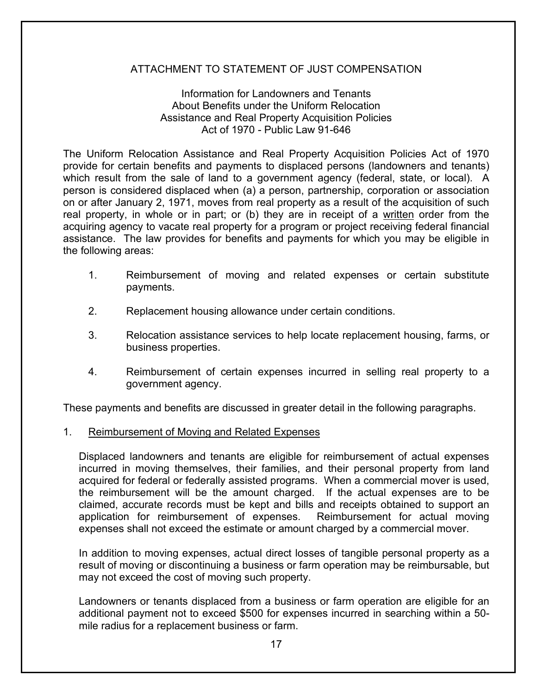## ATTACHMENT TO STATEMENT OF JUST COMPENSATION

## Information for Landowners and Tenants About Benefits under the Uniform Relocation Assistance and Real Property Acquisition Policies Act of 1970 - Public Law 91-646

The Uniform Relocation Assistance and Real Property Acquisition Policies Act of 1970 provide for certain benefits and payments to displaced persons (landowners and tenants) which result from the sale of land to a government agency (federal, state, or local). A person is considered displaced when (a) a person, partnership, corporation or association on or after January 2, 1971, moves from real property as a result of the acquisition of such real property, in whole or in part; or (b) they are in receipt of a written order from the acquiring agency to vacate real property for a program or project receiving federal financial assistance. The law provides for benefits and payments for which you may be eligible in the following areas:

- 1. Reimbursement of moving and related expenses or certain substitute payments.
- 2. Replacement housing allowance under certain conditions.
- 3. Relocation assistance services to help locate replacement housing, farms, or business properties.
- 4. Reimbursement of certain expenses incurred in selling real property to a government agency.

These payments and benefits are discussed in greater detail in the following paragraphs.

## 1. Reimbursement of Moving and Related Expenses

Displaced landowners and tenants are eligible for reimbursement of actual expenses incurred in moving themselves, their families, and their personal property from land acquired for federal or federally assisted programs. When a commercial mover is used, the reimbursement will be the amount charged. If the actual expenses are to be claimed, accurate records must be kept and bills and receipts obtained to support an application for reimbursement of expenses. Reimbursement for actual moving expenses shall not exceed the estimate or amount charged by a commercial mover.

In addition to moving expenses, actual direct losses of tangible personal property as a result of moving or discontinuing a business or farm operation may be reimbursable, but may not exceed the cost of moving such property.

Landowners or tenants displaced from a business or farm operation are eligible for an additional payment not to exceed \$500 for expenses incurred in searching within a 50 mile radius for a replacement business or farm.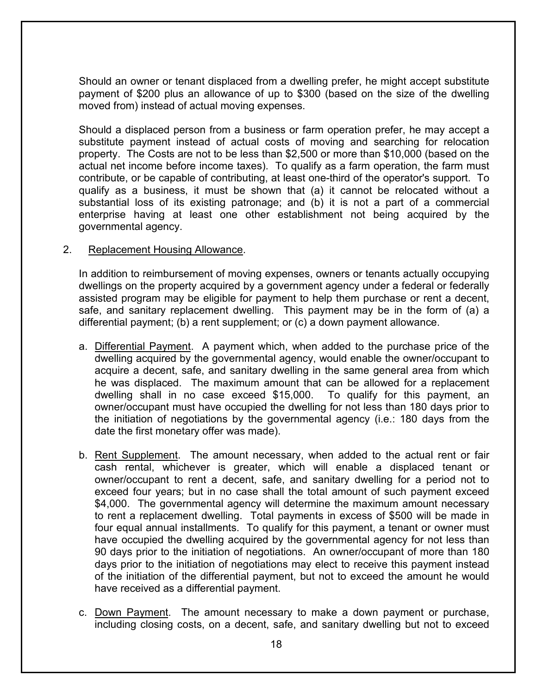Should an owner or tenant displaced from a dwelling prefer, he might accept substitute payment of \$200 plus an allowance of up to \$300 (based on the size of the dwelling moved from) instead of actual moving expenses.

Should a displaced person from a business or farm operation prefer, he may accept a substitute payment instead of actual costs of moving and searching for relocation property. The Costs are not to be less than \$2,500 or more than \$10,000 (based on the actual net income before income taxes). To qualify as a farm operation, the farm must contribute, or be capable of contributing, at least one-third of the operator's support. To qualify as a business, it must be shown that (a) it cannot be relocated without a substantial loss of its existing patronage; and (b) it is not a part of a commercial enterprise having at least one other establishment not being acquired by the governmental agency.

## 2. Replacement Housing Allowance.

In addition to reimbursement of moving expenses, owners or tenants actually occupying dwellings on the property acquired by a government agency under a federal or federally assisted program may be eligible for payment to help them purchase or rent a decent, safe, and sanitary replacement dwelling. This payment may be in the form of (a) a differential payment; (b) a rent supplement; or (c) a down payment allowance.

- a. Differential Payment. A payment which, when added to the purchase price of the dwelling acquired by the governmental agency, would enable the owner/occupant to acquire a decent, safe, and sanitary dwelling in the same general area from which he was displaced. The maximum amount that can be allowed for a replacement dwelling shall in no case exceed \$15,000. To qualify for this payment, an owner/occupant must have occupied the dwelling for not less than 180 days prior to the initiation of negotiations by the governmental agency (i.e.: 180 days from the date the first monetary offer was made).
- b. Rent Supplement. The amount necessary, when added to the actual rent or fair cash rental, whichever is greater, which will enable a displaced tenant or owner/occupant to rent a decent, safe, and sanitary dwelling for a period not to exceed four years; but in no case shall the total amount of such payment exceed \$4,000. The governmental agency will determine the maximum amount necessary to rent a replacement dwelling. Total payments in excess of \$500 will be made in four equal annual installments. To qualify for this payment, a tenant or owner must have occupied the dwelling acquired by the governmental agency for not less than 90 days prior to the initiation of negotiations. An owner/occupant of more than 180 days prior to the initiation of negotiations may elect to receive this payment instead of the initiation of the differential payment, but not to exceed the amount he would have received as a differential payment.
- c. Down Payment. The amount necessary to make a down payment or purchase, including closing costs, on a decent, safe, and sanitary dwelling but not to exceed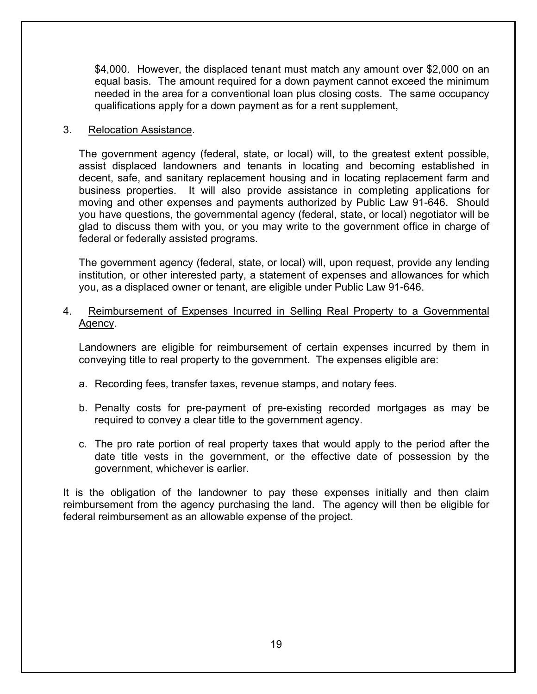\$4,000. However, the displaced tenant must match any amount over \$2,000 on an equal basis. The amount required for a down payment cannot exceed the minimum needed in the area for a conventional loan plus closing costs. The same occupancy qualifications apply for a down payment as for a rent supplement,

## 3. Relocation Assistance.

The government agency (federal, state, or local) will, to the greatest extent possible, assist displaced landowners and tenants in locating and becoming established in decent, safe, and sanitary replacement housing and in locating replacement farm and business properties. It will also provide assistance in completing applications for moving and other expenses and payments authorized by Public Law 91-646. Should you have questions, the governmental agency (federal, state, or local) negotiator will be glad to discuss them with you, or you may write to the government office in charge of federal or federally assisted programs.

The government agency (federal, state, or local) will, upon request, provide any lending institution, or other interested party, a statement of expenses and allowances for which you, as a displaced owner or tenant, are eligible under Public Law 91-646.

## 4. Reimbursement of Expenses Incurred in Selling Real Property to a Governmental Agency.

Landowners are eligible for reimbursement of certain expenses incurred by them in conveying title to real property to the government. The expenses eligible are:

- a. Recording fees, transfer taxes, revenue stamps, and notary fees.
- b. Penalty costs for pre-payment of pre-existing recorded mortgages as may be required to convey a clear title to the government agency.
- c. The pro rate portion of real property taxes that would apply to the period after the date title vests in the government, or the effective date of possession by the government, whichever is earlier.

It is the obligation of the landowner to pay these expenses initially and then claim reimbursement from the agency purchasing the land. The agency will then be eligible for federal reimbursement as an allowable expense of the project.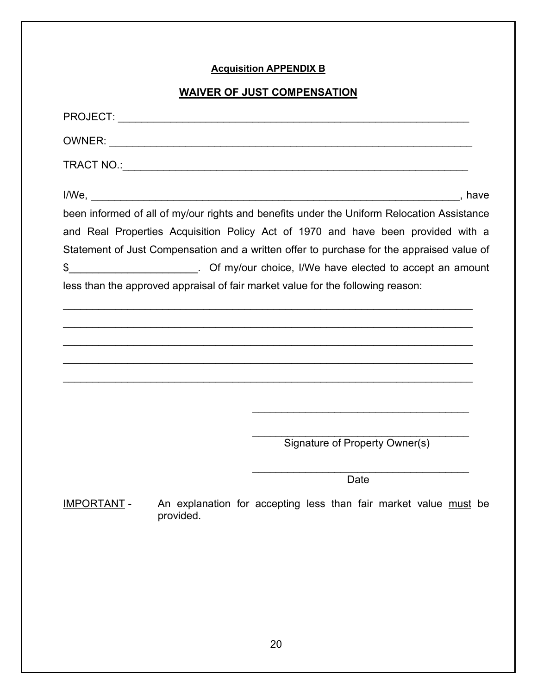## **Acquisition APPENDIX B**

## **WAIVER OF JUST COMPENSATION**

|                    | been informed of all of my/our rights and benefits under the Uniform Relocation Assistance<br>and Real Properties Acquisition Policy Act of 1970 and have been provided with a<br>Statement of Just Compensation and a written offer to purchase for the appraised value of<br>\$____________________________. Of my/our choice, I/We have elected to accept an amount<br>less than the approved appraisal of fair market value for the following reason: |                                |  |
|--------------------|-----------------------------------------------------------------------------------------------------------------------------------------------------------------------------------------------------------------------------------------------------------------------------------------------------------------------------------------------------------------------------------------------------------------------------------------------------------|--------------------------------|--|
|                    |                                                                                                                                                                                                                                                                                                                                                                                                                                                           |                                |  |
|                    |                                                                                                                                                                                                                                                                                                                                                                                                                                                           |                                |  |
|                    |                                                                                                                                                                                                                                                                                                                                                                                                                                                           |                                |  |
|                    |                                                                                                                                                                                                                                                                                                                                                                                                                                                           |                                |  |
|                    |                                                                                                                                                                                                                                                                                                                                                                                                                                                           | Signature of Property Owner(s) |  |
|                    |                                                                                                                                                                                                                                                                                                                                                                                                                                                           | Date                           |  |
| <b>IMPORTANT -</b> | An explanation for accepting less than fair market value must be<br>provided.                                                                                                                                                                                                                                                                                                                                                                             |                                |  |
|                    |                                                                                                                                                                                                                                                                                                                                                                                                                                                           |                                |  |
|                    |                                                                                                                                                                                                                                                                                                                                                                                                                                                           |                                |  |

20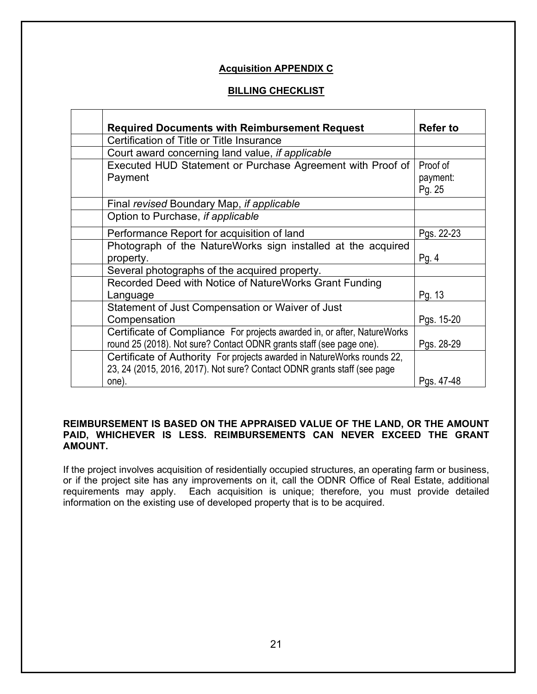#### **Acquisition APPENDIX C**

## **BILLING CHECKLIST**

| <b>Required Documents with Reimbursement Request</b>                                                                                                         | <b>Refer to</b>                |
|--------------------------------------------------------------------------------------------------------------------------------------------------------------|--------------------------------|
| Certification of Title or Title Insurance                                                                                                                    |                                |
| Court award concerning land value, if applicable                                                                                                             |                                |
| Executed HUD Statement or Purchase Agreement with Proof of<br>Payment                                                                                        | Proof of<br>payment:<br>Pg. 25 |
| Final revised Boundary Map, if applicable                                                                                                                    |                                |
| Option to Purchase, if applicable                                                                                                                            |                                |
| Performance Report for acquisition of land                                                                                                                   | Pgs. 22-23                     |
| Photograph of the NatureWorks sign installed at the acquired<br>property.                                                                                    | Pg. $4$                        |
| Several photographs of the acquired property.                                                                                                                |                                |
| Recorded Deed with Notice of NatureWorks Grant Funding<br>Language                                                                                           | Pg. 13                         |
| Statement of Just Compensation or Waiver of Just<br>Compensation                                                                                             | Pgs. 15-20                     |
| Certificate of Compliance For projects awarded in, or after, NatureWorks<br>round 25 (2018). Not sure? Contact ODNR grants staff (see page one).             | Pgs. 28-29                     |
| Certificate of Authority For projects awarded in NatureWorks rounds 22,<br>23, 24 (2015, 2016, 2017). Not sure? Contact ODNR grants staff (see page<br>one). | Pgs. 47-48                     |

#### **REIMBURSEMENT IS BASED ON THE APPRAISED VALUE OF THE LAND, OR THE AMOUNT PAID, WHICHEVER IS LESS. REIMBURSEMENTS CAN NEVER EXCEED THE GRANT AMOUNT.**

If the project involves acquisition of residentially occupied structures, an operating farm or business, or if the project site has any improvements on it, call the ODNR Office of Real Estate, additional requirements may apply. Each acquisition is unique; therefore, you must provide detailed information on the existing use of developed property that is to be acquired.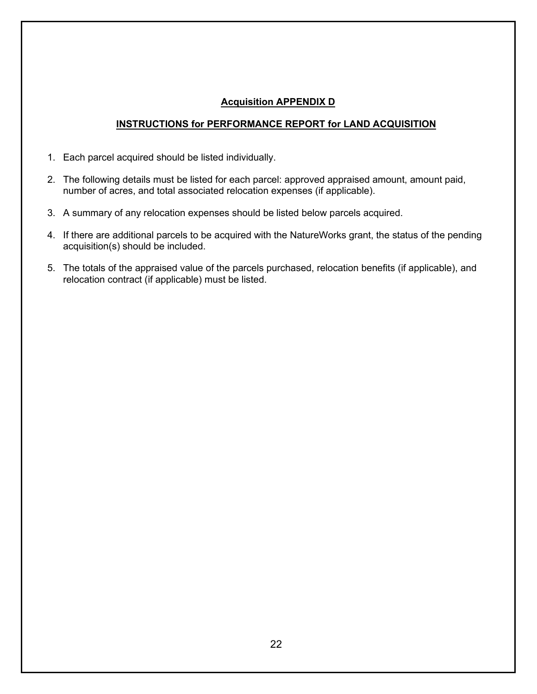## **Acquisition APPENDIX D**

#### **INSTRUCTIONS for PERFORMANCE REPORT for LAND ACQUISITION**

- 1. Each parcel acquired should be listed individually.
- 2. The following details must be listed for each parcel: approved appraised amount, amount paid, number of acres, and total associated relocation expenses (if applicable).
- 3. A summary of any relocation expenses should be listed below parcels acquired.
- 4. If there are additional parcels to be acquired with the NatureWorks grant, the status of the pending acquisition(s) should be included.
- 5. The totals of the appraised value of the parcels purchased, relocation benefits (if applicable), and relocation contract (if applicable) must be listed.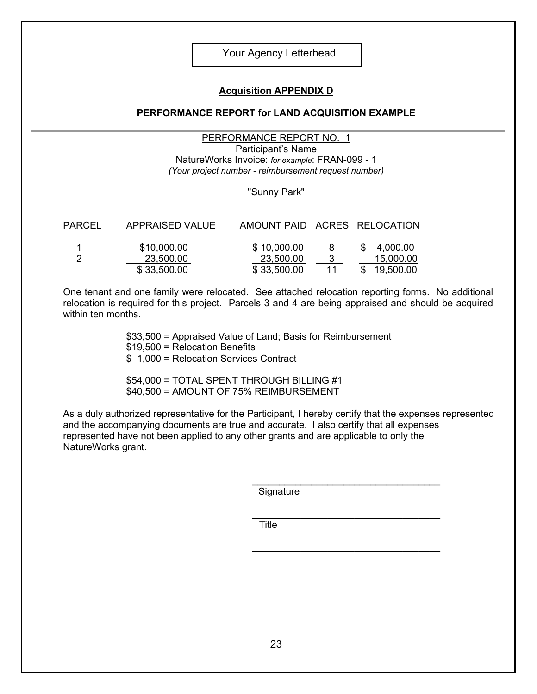#### Your Agency Letterhead

#### **Acquisition APPENDIX D**

#### **PERFORMANCE REPORT for LAND ACQUISITION EXAMPLE**

#### PERFORMANCE REPORT NO. 1

Participant's Name NatureWorks Invoice: *for example*: FRAN-099 - 1 *(Your project number - reimbursement request number)* 

#### "Sunny Park"

| PARCEL | <b>APPRAISED VALUE</b> | AMOUNT PAID ACRES RELOCATION |    |             |
|--------|------------------------|------------------------------|----|-------------|
|        |                        |                              |    |             |
|        | \$10,000.00            | \$10,000.00                  | 8  | \$4,000.00  |
|        | 23,500.00              | 23,500.00                    |    | 15,000.00   |
|        | \$33,500.00            | \$33,500.00                  | 11 | \$19,500.00 |

One tenant and one family were relocated. See attached relocation reporting forms. No additional relocation is required for this project. Parcels 3 and 4 are being appraised and should be acquired within ten months.

> \$33,500 = Appraised Value of Land; Basis for Reimbursement \$19,500 = Relocation Benefits

\$ 1,000 = Relocation Services Contract

\$54,000 = TOTAL SPENT THROUGH BILLING #1 \$40,500 = AMOUNT OF 75% REIMBURSEMENT

As a duly authorized representative for the Participant, I hereby certify that the expenses represented and the accompanying documents are true and accurate. I also certify that all expenses represented have not been applied to any other grants and are applicable to only the NatureWorks grant.

**Signature** 

\_\_\_\_\_\_\_\_\_\_\_\_\_\_\_\_\_\_\_\_\_\_\_\_\_\_\_\_\_\_\_\_\_\_\_

\_\_\_\_\_\_\_\_\_\_\_\_\_\_\_\_\_\_\_\_\_\_\_\_\_\_\_\_\_\_\_\_\_\_\_

\_\_\_\_\_\_\_\_\_\_\_\_\_\_\_\_\_\_\_\_\_\_\_\_\_\_\_\_\_\_\_\_\_\_\_ **Title**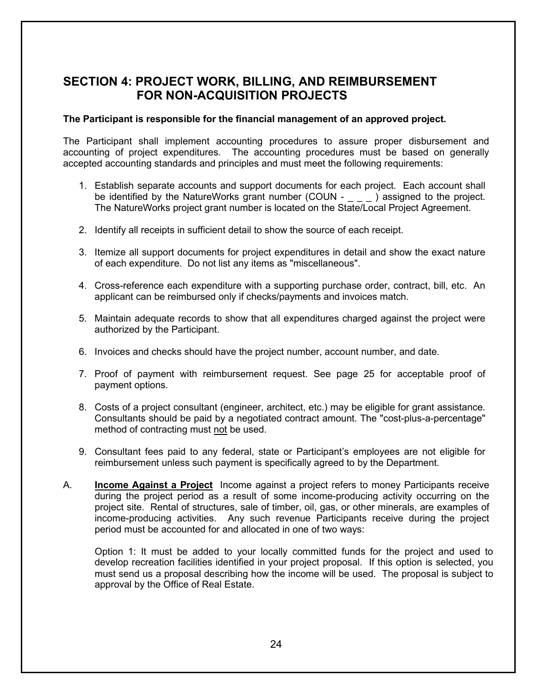## **SECTION 4: PROJECT WORK, BILLING, AND REIMBURSEMENT FOR NON-ACQUISITION PROJECTS**

#### **The Participant is responsible for the financial management of an approved project.**

The Participant shall implement accounting procedures to assure proper disbursement and accounting of project expenditures. The accounting procedures must be based on generally accepted accounting standards and principles and must meet the following requirements:

- 1. Establish separate accounts and support documents for each project. Each account shall be identified by the NatureWorks grant number  $(COUN - \_ - \_ )$  assigned to the project. The NatureWorks project grant number is located on the State/Local Project Agreement.
- 2. Identify all receipts in sufficient detail to show the source of each receipt.
- 3. Itemize all support documents for project expenditures in detail and show the exact nature of each expenditure. Do not list any items as "miscellaneous".
- 4. Cross-reference each expenditure with a supporting purchase order, contract, bill, etc. An applicant can be reimbursed only if checks/payments and invoices match.
- 5. Maintain adequate records to show that all expenditures charged against the project were authorized by the Participant.
- 6. Invoices and checks should have the project number, account number, and date.
- 7. Proof of payment with reimbursement request. See page 25 for acceptable proof of payment options.
- 8. Costs of a project consultant (engineer, architect, etc.) may be eligible for grant assistance. Consultants should be paid by a negotiated contract amount. The "cost-plus-a-percentage" method of contracting must not be used.
- 9. Consultant fees paid to any federal, state or Participant's employees are not eligible for reimbursement unless such payment is specifically agreed to by the Department.
- A. **Income Against a Project** Income against a project refers to money Participants receive during the project period as a result of some income-producing activity occurring on the project site. Rental of structures, sale of timber, oil, gas, or other minerals, are examples of income-producing activities. Any such revenue Participants receive during the project period must be accounted for and allocated in one of two ways:

Option 1: It must be added to your locally committed funds for the project and used to develop recreation facilities identified in your project proposal. If this option is selected, you must send us a proposal describing how the income will be used. The proposal is subject to approval by the Office of Real Estate.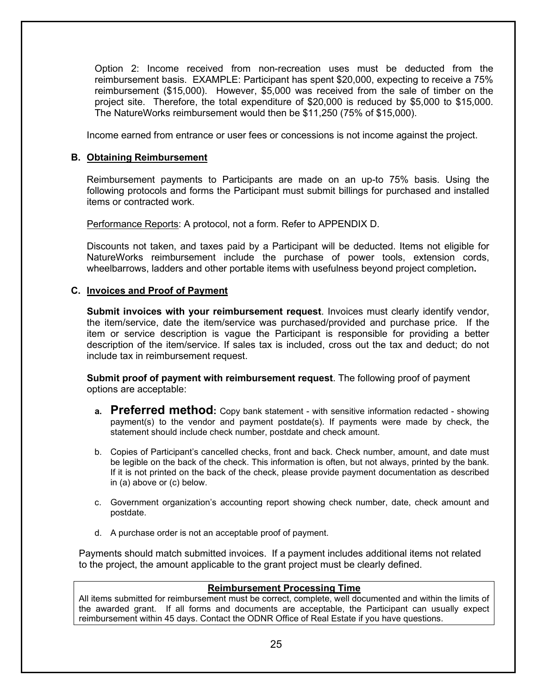Option 2: Income received from non-recreation uses must be deducted from the reimbursement basis. EXAMPLE: Participant has spent \$20,000, expecting to receive a 75% reimbursement (\$15,000). However, \$5,000 was received from the sale of timber on the project site. Therefore, the total expenditure of \$20,000 is reduced by \$5,000 to \$15,000. The NatureWorks reimbursement would then be \$11,250 (75% of \$15,000).

Income earned from entrance or user fees or concessions is not income against the project.

#### **B. Obtaining Reimbursement**

Reimbursement payments to Participants are made on an up-to 75% basis. Using the following protocols and forms the Participant must submit billings for purchased and installed items or contracted work.

Performance Reports: A protocol, not a form. Refer to APPENDIX D.

Discounts not taken, and taxes paid by a Participant will be deducted. Items not eligible for NatureWorks reimbursement include the purchase of power tools, extension cords, wheelbarrows, ladders and other portable items with usefulness beyond project completion**.**

#### **C. Invoices and Proof of Payment**

**Submit invoices with your reimbursement request**. Invoices must clearly identify vendor, the item/service, date the item/service was purchased/provided and purchase price. If the item or service description is vague the Participant is responsible for providing a better description of the item/service. If sales tax is included, cross out the tax and deduct; do not include tax in reimbursement request.

**Submit proof of payment with reimbursement request**. The following proof of payment options are acceptable:

- **a. Preferred method:** Copy bank statement with sensitive information redacted showing payment(s) to the vendor and payment postdate(s). If payments were made by check, the statement should include check number, postdate and check amount.
- b. Copies of Participant's cancelled checks, front and back. Check number, amount, and date must be legible on the back of the check. This information is often, but not always, printed by the bank. If it is not printed on the back of the check, please provide payment documentation as described in (a) above or (c) below.
- c. Government organization's accounting report showing check number, date, check amount and postdate.
- d. A purchase order is not an acceptable proof of payment.

Payments should match submitted invoices. If a payment includes additional items not related to the project, the amount applicable to the grant project must be clearly defined.

#### **Reimbursement Processing Time**

All items submitted for reimbursement must be correct, complete, well documented and within the limits of the awarded grant. If all forms and documents are acceptable, the Participant can usually expect reimbursement within 45 days. Contact the ODNR Office of Real Estate if you have questions.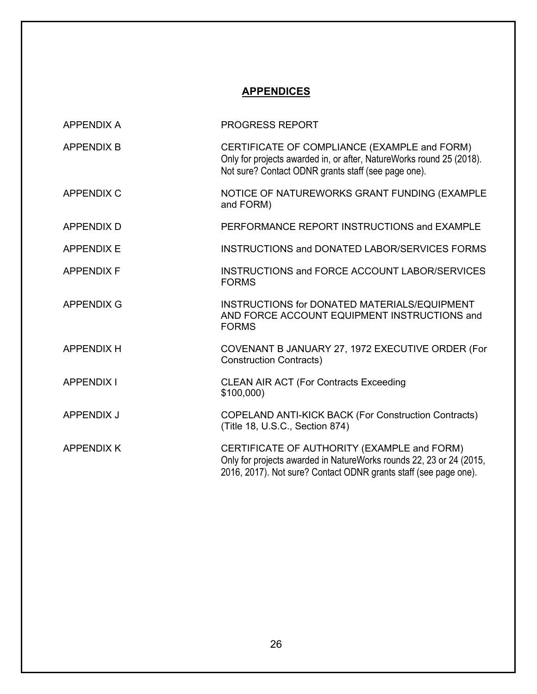## **APPENDICES**

| <b>APPENDIX A</b> | <b>PROGRESS REPORT</b>                                                                                                                                                                 |
|-------------------|----------------------------------------------------------------------------------------------------------------------------------------------------------------------------------------|
| <b>APPENDIX B</b> | CERTIFICATE OF COMPLIANCE (EXAMPLE and FORM)<br>Only for projects awarded in, or after, NatureWorks round 25 (2018).<br>Not sure? Contact ODNR grants staff (see page one).            |
| <b>APPENDIX C</b> | NOTICE OF NATUREWORKS GRANT FUNDING (EXAMPLE<br>and FORM)                                                                                                                              |
| <b>APPENDIX D</b> | PERFORMANCE REPORT INSTRUCTIONS and EXAMPLE                                                                                                                                            |
| <b>APPENDIX E</b> | <b>INSTRUCTIONS and DONATED LABOR/SERVICES FORMS</b>                                                                                                                                   |
| <b>APPENDIX F</b> | INSTRUCTIONS and FORCE ACCOUNT LABOR/SERVICES<br><b>FORMS</b>                                                                                                                          |
| <b>APPENDIX G</b> | <b>INSTRUCTIONS for DONATED MATERIALS/EQUIPMENT</b><br>AND FORCE ACCOUNT EQUIPMENT INSTRUCTIONS and<br><b>FORMS</b>                                                                    |
| <b>APPENDIX H</b> | COVENANT B JANUARY 27, 1972 EXECUTIVE ORDER (For<br><b>Construction Contracts)</b>                                                                                                     |
| <b>APPENDIX I</b> | <b>CLEAN AIR ACT (For Contracts Exceeding</b><br>\$100,000                                                                                                                             |
| <b>APPENDIX J</b> | COPELAND ANTI-KICK BACK (For Construction Contracts)<br>(Title 18, U.S.C., Section 874)                                                                                                |
| <b>APPENDIX K</b> | CERTIFICATE OF AUTHORITY (EXAMPLE and FORM)<br>Only for projects awarded in NatureWorks rounds 22, 23 or 24 (2015,<br>2016, 2017). Not sure? Contact ODNR grants staff (see page one). |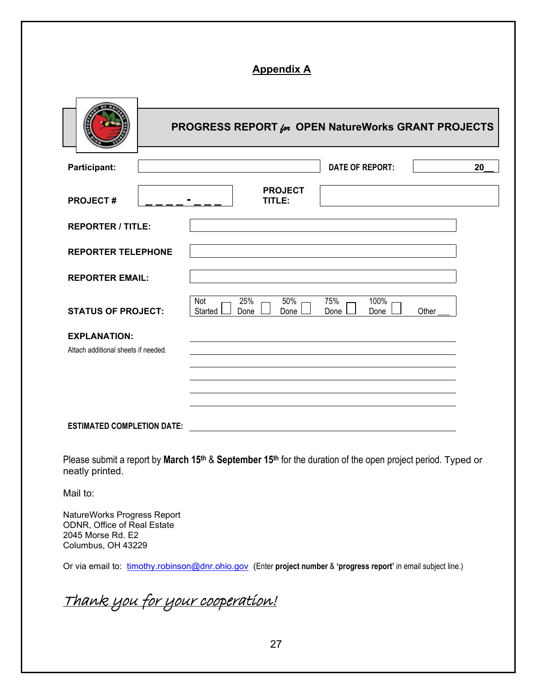## **Appendix A**

|                                                            | <b>PROGRESS REPORT for OPEN NatureWorks GRANT PROJECTS</b>                           |    |
|------------------------------------------------------------|--------------------------------------------------------------------------------------|----|
| Participant:                                               | <b>DATE OF REPORT:</b>                                                               | 20 |
| <b>PROJECT#</b>                                            | <b>PROJECT</b><br>TITLE:                                                             |    |
| <b>REPORTER / TITLE:</b>                                   |                                                                                      |    |
| <b>REPORTER TELEPHONE</b>                                  |                                                                                      |    |
| <b>REPORTER EMAIL:</b>                                     |                                                                                      |    |
| <b>STATUS OF PROJECT:</b>                                  | 25%<br>75%<br>100%<br>50%<br>Not<br>Started<br>Other<br>Done<br>Done<br>Done<br>Done |    |
| <b>EXPLANATION:</b><br>Attach additional sheets if needed. |                                                                                      |    |
| <b>ESTIMATED COMPLETION DATE:</b>                          |                                                                                      |    |

Please submit a report by **March 15th** & **September 15th** for the duration of the open project period. Typed or neatly printed.

Mail to:

NatureWorks Progress Report ODNR, Office of Real Estate 2045 Morse Rd. E2 Columbus, OH 43229

Or via email to: [timothy.robinson@dnr.ohio.gov](mailto:timothy.robinson@dnr.ohio.gov) (Enter **project number** & **'progress report'** in email subject line.)

Thank you for your cooperation!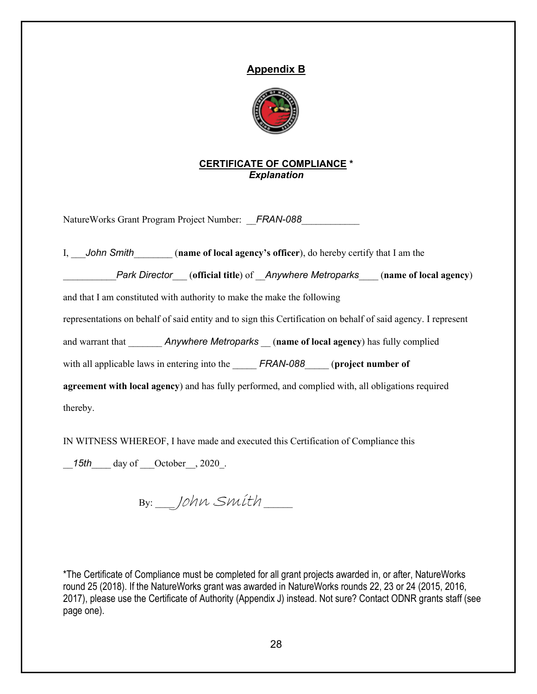## **Appendix B**



## **CERTIFICATE OF COMPLIANCE \*** *Explanation*

NatureWorks Grant Program Project Number: FRAN-088

I, \_\_\_*John Smith*\_\_\_\_\_\_\_\_ (**name of local agency's officer**), do hereby certify that I am the \_\_\_\_\_\_\_\_\_\_\_*Park Director*\_\_\_ (**official title**) of \_\_*Anywhere Metroparks*\_\_\_\_ (**name of local agency**) and that I am constituted with authority to make the make the following representations on behalf of said entity and to sign this Certification on behalf of said agency. I represent and warrant that **Anywhere Metroparks** (**name of local agency**) has fully complied with all applicable laws in entering into the **FRAN-088** (**project number of agreement with local agency**) and has fully performed, and complied with, all obligations required thereby.

IN WITNESS WHEREOF, I have made and executed this Certification of Compliance this

15th day of October<sub>2020</sub>.

 $B$ y:  $10$ hn Smith  $-$ 

\*The Certificate of Compliance must be completed for all grant projects awarded in, or after, NatureWorks round 25 (2018). If the NatureWorks grant was awarded in NatureWorks rounds 22, 23 or 24 (2015, 2016, 2017), please use the Certificate of Authority (Appendix J) instead. Not sure? Contact ODNR grants staff (see page one).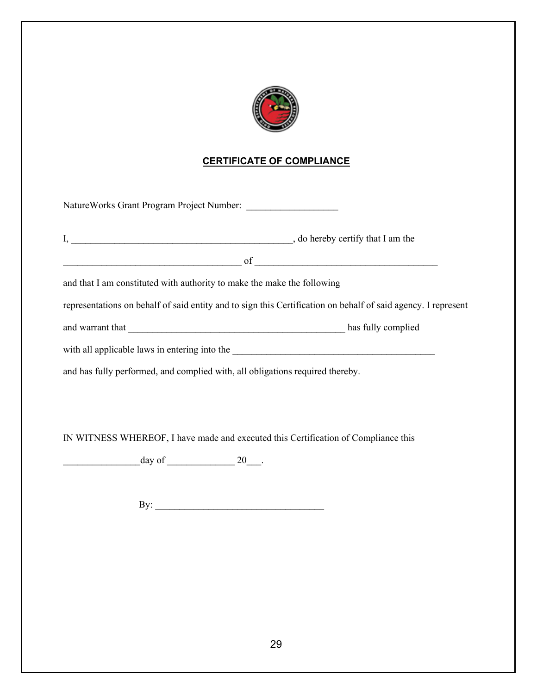

## **CERTIFICATE OF COMPLIANCE**

| NatureWorks Grant Program Project Number:                                          |                                                                                                               |
|------------------------------------------------------------------------------------|---------------------------------------------------------------------------------------------------------------|
|                                                                                    |                                                                                                               |
|                                                                                    |                                                                                                               |
| and that I am constituted with authority to make the make the following            |                                                                                                               |
|                                                                                    | representations on behalf of said entity and to sign this Certification on behalf of said agency. I represent |
|                                                                                    |                                                                                                               |
|                                                                                    |                                                                                                               |
| and has fully performed, and complied with, all obligations required thereby.      |                                                                                                               |
|                                                                                    |                                                                                                               |
|                                                                                    |                                                                                                               |
| IN WITNESS WHEREOF, I have made and executed this Certification of Compliance this |                                                                                                               |

 $\frac{day \text{ of } }{20}$ .

By: \_\_\_\_\_\_\_\_\_\_\_\_\_\_\_\_\_\_\_\_\_\_\_\_\_\_\_\_\_\_\_\_\_\_\_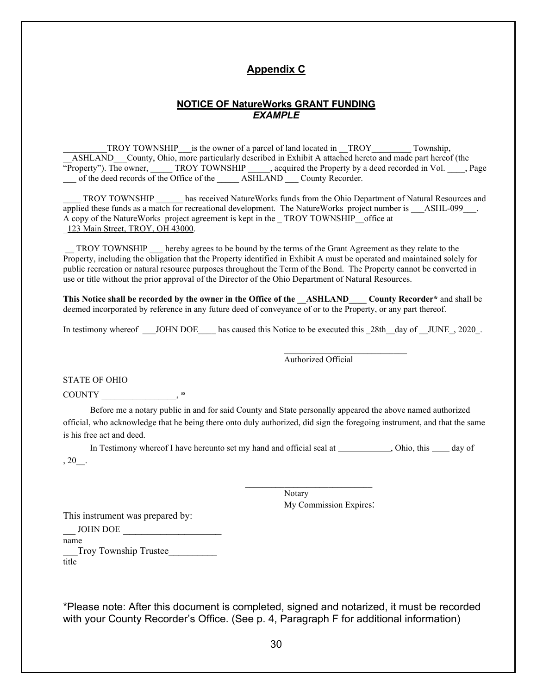## **Appendix C**

#### **NOTICE OF NatureWorks GRANT FUNDING** *EXAMPLE*

\_\_\_\_\_\_\_\_\_\_TROY TOWNSHIP\_\_\_is the owner of a parcel of land located in \_\_TROY\_\_\_\_\_\_\_\_\_ Township, ASHLAND County, Ohio, more particularly described in Exhibit A attached hereto and made part hereof (the "Property"). The owner, TROY TOWNSHIP , acquired the Property by a deed recorded in Vol. Fage \_\_\_ of the deed records of the Office of the \_\_\_\_\_ ASHLAND \_\_\_ County Recorder.

TROY TOWNSHIP has received NatureWorks funds from the Ohio Department of Natural Resources and applied these funds as a match for recreational development. The NatureWorks project number is \_\_\_\_\_\_\_\_\_\_\_\_\_\_\_ A copy of the NatureWorks project agreement is kept in the \_ TROY TOWNSHIP\_\_office at \_123 Main Street, TROY, OH 43000.

\_\_ TROY TOWNSHIP \_\_\_ hereby agrees to be bound by the terms of the Grant Agreement as they relate to the Property, including the obligation that the Property identified in Exhibit A must be operated and maintained solely for public recreation or natural resource purposes throughout the Term of the Bond. The Property cannot be converted in use or title without the prior approval of the Director of the Ohio Department of Natural Resources.

**This Notice shall be recorded by the owner in the Office of the \_\_ASHLAND\_\_\_\_ County Recorder\*** and shall be deemed incorporated by reference in any future deed of conveyance of or to the Property, or any part thereof.

In testimony whereof \_\_\_JOHN DOE\_\_\_\_ has caused this Notice to be executed this \_28th\_\_day of \_\_JUNE\_, 2020\_.

 $\frac{1}{2}$  , and the set of the set of the set of the set of the set of the set of the set of the set of the set of the set of the set of the set of the set of the set of the set of the set of the set of the set of the set

 $\frac{1}{\sqrt{2}}$  , and the set of the set of the set of the set of the set of the set of the set of the set of the set of the set of the set of the set of the set of the set of the set of the set of the set of the set of the

Authorized Official

STATE OF OHIO

COUNTY

Before me a notary public in and for said County and State personally appeared the above named authorized official, who acknowledge that he being there onto duly authorized, did sign the foregoing instrument, and that the same is his free act and deed.

In Testimony whereof I have hereunto set my hand and official seal at \_\_\_\_\_\_\_\_\_\_, Ohio, this \_\_\_\_ day of  $, 20$ .

> Notary My Commission Expires:

This instrument was prepared by:

JOHN DOE

name

\_\_\_Troy Township Trustee\_\_\_\_\_\_\_\_\_\_

title

\*Please note: After this document is completed, signed and notarized, it must be recorded with your County Recorder's Office. (See p. 4, Paragraph F for additional information)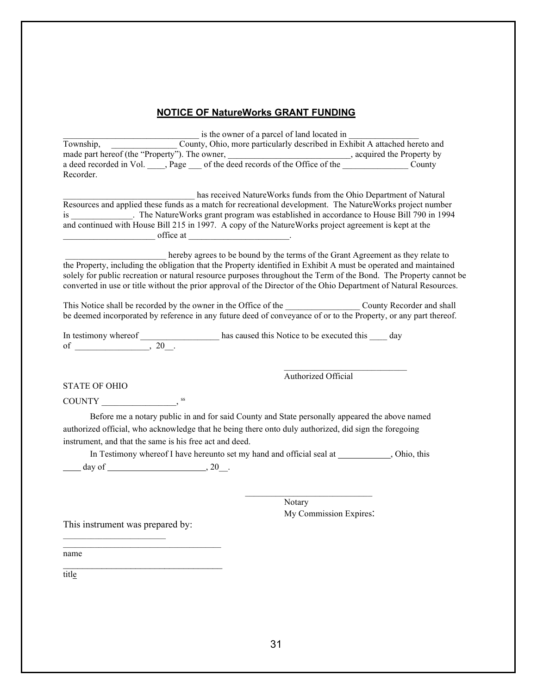## **NOTICE OF NatureWorks GRANT FUNDING**

is the owner of a parcel of land located in Township, \_\_\_\_\_\_\_\_\_\_\_\_\_\_\_ County, Ohio, more particularly described in Exhibit A attached hereto and made part hereof (the "Property"). The owner, \_\_\_\_\_\_\_\_\_\_\_\_\_\_\_\_\_\_\_\_\_\_\_\_\_\_\_, acquired the Property by a deed recorded in Vol. \_\_\_\_, Page \_\_\_ of the deed records of the Office of the \_\_\_\_\_\_\_\_\_\_\_\_\_\_\_\_\_ County Recorder.

\_\_\_\_\_\_\_\_\_\_\_\_\_\_\_\_\_\_\_\_\_\_\_\_\_\_\_\_\_\_ has received NatureWorks funds from the Ohio Department of Natural Resources and applied these funds as a match for recreational development. The NatureWorks project number is \_\_\_\_\_\_\_\_\_\_\_\_\_\_. The NatureWorks grant program was established in accordance to House Bill 790 in 1994 and continued with House Bill 215 in 1997. A copy of the NatureWorks project agreement is kept at the  $of$  fice at  $\Box$ 

hereby agrees to be bound by the terms of the Grant Agreement as they relate to the Property, including the obligation that the Property identified in Exhibit A must be operated and maintained solely for public recreation or natural resource purposes throughout the Term of the Bond. The Property cannot be converted in use or title without the prior approval of the Director of the Ohio Department of Natural Resources.

This Notice shall be recorded by the owner in the Office of the \_\_\_\_\_\_\_\_\_\_\_\_\_\_\_\_\_\_ County Recorder and shall be deemed incorporated by reference in any future deed of conveyance of or to the Property, or any part thereof.

In testimony whereof has caused this Notice to be executed this day of \_\_\_\_\_\_\_\_\_\_\_\_\_\_\_, 20\_.

 $\mathcal{L}_\text{max}$  and  $\mathcal{L}_\text{max}$  and  $\mathcal{L}_\text{max}$  and  $\mathcal{L}_\text{max}$  and  $\mathcal{L}_\text{max}$ 

Authorized Official

STATE OF OHIO

COUNTY \_\_\_\_\_\_\_\_\_\_\_\_\_\_\_\_\_, ss

Before me a notary public in and for said County and State personally appeared the above named authorized official, who acknowledge that he being there onto duly authorized, did sign the foregoing instrument, and that the same is his free act and deed.

In Testimony whereof I have hereunto set my hand and official seal at \_\_\_\_\_\_\_\_\_\_, Ohio, this day of  $\_\_\_\_\_\_\$ , 20\_.

 $\frac{1}{\sqrt{2}}$  , and the set of the set of the set of the set of the set of the set of the set of the set of the set of the set of the set of the set of the set of the set of the set of the set of the set of the set of the Notary My Commission Expires:

This instrument was prepared by:

\_\_\_\_\_\_\_\_\_\_\_\_\_\_\_\_\_\_\_\_\_\_\_\_\_\_\_\_\_\_\_\_\_\_\_\_\_\_\_\_

name  $\mathcal{L}_\text{max}$  , where  $\mathcal{L}_\text{max}$  , we are the set of the set of the set of the set of the set of the set of the set of the set of the set of the set of the set of the set of the set of the set of the set of the set of

title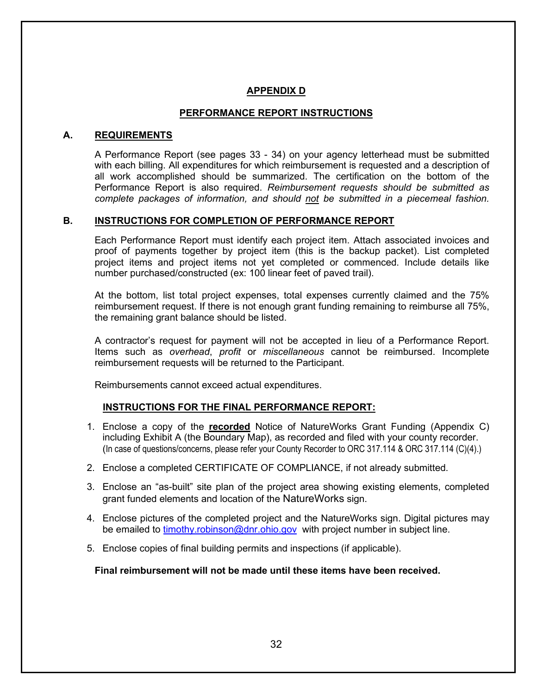## **APPENDIX D**

## **PERFORMANCE REPORT INSTRUCTIONS**

#### **A. REQUIREMENTS**

A Performance Report (see pages 33 - 34) on your agency letterhead must be submitted with each billing. All expenditures for which reimbursement is requested and a description of all work accomplished should be summarized. The certification on the bottom of the Performance Report is also required. *Reimbursement requests should be submitted as complete packages of information, and should not be submitted in a piecemeal fashion.* 

#### **B. INSTRUCTIONS FOR COMPLETION OF PERFORMANCE REPORT**

Each Performance Report must identify each project item. Attach associated invoices and proof of payments together by project item (this is the backup packet). List completed project items and project items not yet completed or commenced. Include details like number purchased/constructed (ex: 100 linear feet of paved trail).

At the bottom, list total project expenses, total expenses currently claimed and the 75% reimbursement request. If there is not enough grant funding remaining to reimburse all 75%, the remaining grant balance should be listed.

A contractor's request for payment will not be accepted in lieu of a Performance Report. Items such as *overhead*, *profit* or *miscellaneous* cannot be reimbursed. Incomplete reimbursement requests will be returned to the Participant.

Reimbursements cannot exceed actual expenditures.

## **INSTRUCTIONS FOR THE FINAL PERFORMANCE REPORT:**

- 1. Enclose a copy of the **recorded** Notice of NatureWorks Grant Funding (Appendix C) including Exhibit A (the Boundary Map), as recorded and filed with your county recorder. (In case of questions/concerns, please refer your County Recorder to ORC 317.114 & ORC 317.114 (C)(4).)
- 2. Enclose a completed CERTIFICATE OF COMPLIANCE, if not already submitted.
- 3. Enclose an "as-built" site plan of the project area showing existing elements, completed grant funded elements and location of the NatureWorks sign.
- 4. Enclose pictures of the completed project and the NatureWorks sign. Digital pictures may be emailed to [timothy.robinson@dnr.ohio.gov](mailto:timothy.robinson@dnr.ohio.gov) with project number in subject line.
- 5. Enclose copies of final building permits and inspections (if applicable).

**Final reimbursement will not be made until these items have been received.**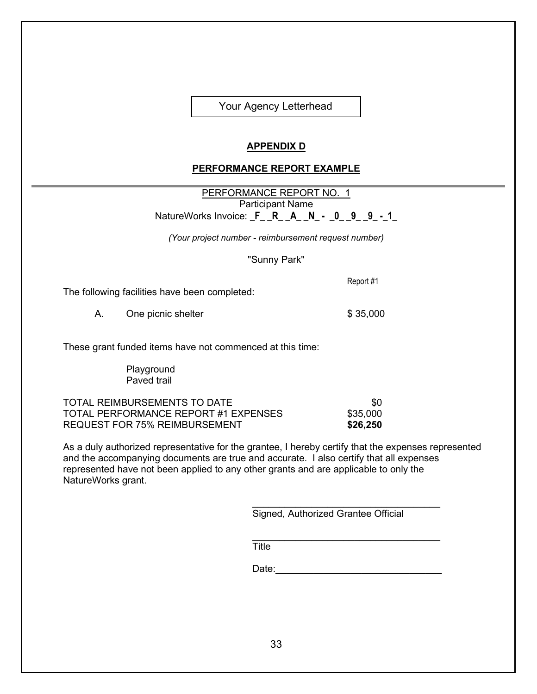Your Agency Letterhead

## **APPENDIX D**

#### **PERFORMANCE REPORT EXAMPLE**

PERFORMANCE REPORT NO. 1 Participant Name NatureWorks Invoice: **\_F\_ \_R\_ \_A\_ \_N\_ - \_0\_ \_9\_ \_9\_ -\_1\_**

*(Your project number - reimbursement request number)* 

"Sunny Park"

The following facilities have been completed:

A. One picnic shelter  $$ 35,000$ 

These grant funded items have not commenced at this time:

**Playground** Paved trail

TOTAL REIMBURSEMENTS TO DATE **\$000 FOR TOTAL REIMBURSEMENTS** TOTAL PERFORMANCE REPORT #1 EXPENSES \$35,000 REQUEST FOR 75% REIMBURSEMENT **\$26,250**

As a duly authorized representative for the grantee, I hereby certify that the expenses represented and the accompanying documents are true and accurate. I also certify that all expenses represented have not been applied to any other grants and are applicable to only the NatureWorks grant.

> \_\_\_\_\_\_\_\_\_\_\_\_\_\_\_\_\_\_\_\_\_\_\_\_\_\_\_\_\_\_\_\_\_\_\_ Signed, Authorized Grantee Official

> \_\_\_\_\_\_\_\_\_\_\_\_\_\_\_\_\_\_\_\_\_\_\_\_\_\_\_\_\_\_\_\_\_\_\_ **Title**

Date:\_\_\_\_\_\_\_\_\_\_\_\_\_\_\_\_\_\_\_\_\_\_\_\_\_\_\_\_\_\_\_

Report #1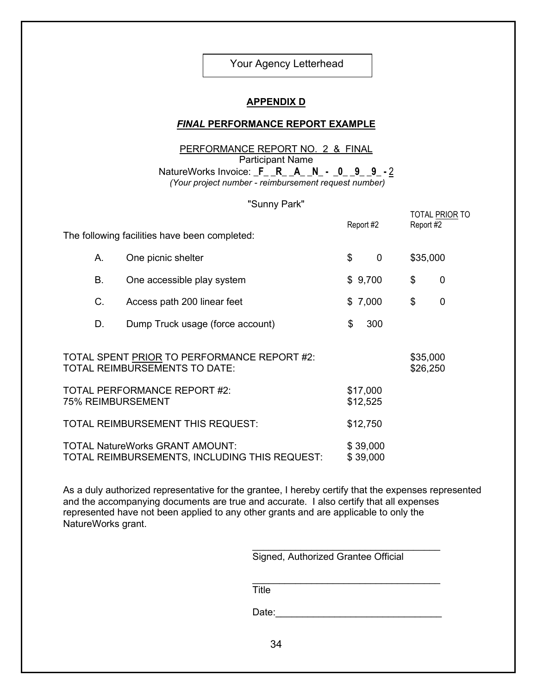Your Agency Letterhead

#### **APPENDIX D**

#### *FINAL* **PERFORMANCE REPORT EXAMPLE**

#### PERFORMANCE REPORT NO. 2 & FINAL Participant Name

NatureWorks Invoice: **\_F\_ \_R\_ \_A\_ \_N\_ - \_0\_ \_9\_ \_9\_ -** 2 *(Your project number - reimbursement request number)* 

#### "Sunny Park"

|                                               | <b>O GILLY LAIR</b>                                                                     | Report #2            | TOTAL PRIOR TO<br>Report #2 |  |
|-----------------------------------------------|-----------------------------------------------------------------------------------------|----------------------|-----------------------------|--|
| The following facilities have been completed: |                                                                                         |                      |                             |  |
| Α.                                            | One picnic shelter                                                                      | \$<br>$\mathbf 0$    | \$35,000                    |  |
| В.                                            | One accessible play system                                                              | \$9,700              | \$<br>$\mathbf 0$           |  |
| C.                                            | Access path 200 linear feet                                                             | \$7,000              | \$<br>$\mathbf 0$           |  |
| D.                                            | Dump Truck usage (force account)                                                        | 300<br>\$            |                             |  |
|                                               | TOTAL SPENT PRIOR TO PERFORMANCE REPORT #2:<br>TOTAL REIMBURSEMENTS TO DATE:            |                      | \$35,000<br>\$26,250        |  |
|                                               | <b>TOTAL PERFORMANCE REPORT #2:</b><br><b>75% REIMBURSEMENT</b>                         | \$17,000<br>\$12,525 |                             |  |
|                                               | <b>TOTAL REIMBURSEMENT THIS REQUEST:</b>                                                | \$12,750             |                             |  |
|                                               | <b>TOTAL NatureWorks GRANT AMOUNT:</b><br>TOTAL REIMBURSEMENTS, INCLUDING THIS REQUEST: | \$39,000<br>\$39,000 |                             |  |

As a duly authorized representative for the grantee, I hereby certify that the expenses represented and the accompanying documents are true and accurate. I also certify that all expenses represented have not been applied to any other grants and are applicable to only the NatureWorks grant.

> \_\_\_\_\_\_\_\_\_\_\_\_\_\_\_\_\_\_\_\_\_\_\_\_\_\_\_\_\_\_\_\_\_\_\_ Signed, Authorized Grantee Official

> \_\_\_\_\_\_\_\_\_\_\_\_\_\_\_\_\_\_\_\_\_\_\_\_\_\_\_\_\_\_\_\_\_\_\_ **Title**

Date:\_\_\_\_\_\_\_\_\_\_\_\_\_\_\_\_\_\_\_\_\_\_\_\_\_\_\_\_\_\_\_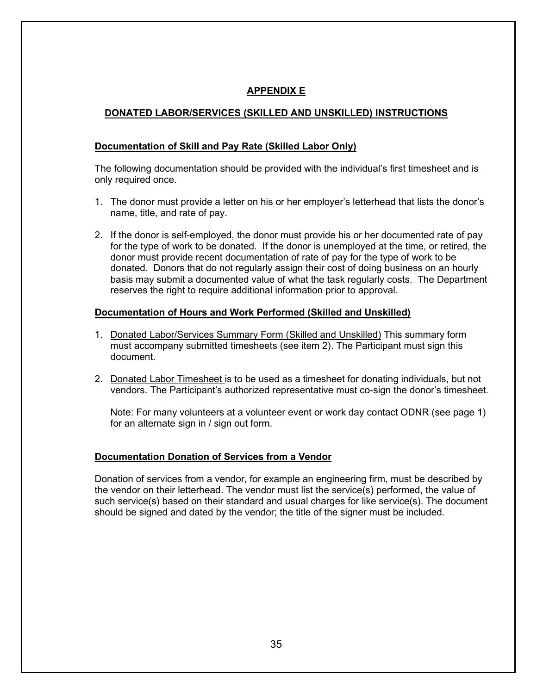## **APPENDIX E**

## **DONATED LABOR/SERVICES (SKILLED AND UNSKILLED) INSTRUCTIONS**

## **Documentation of Skill and Pay Rate (Skilled Labor Only)**

The following documentation should be provided with the individual's first timesheet and is only required once.

- 1. The donor must provide a letter on his or her employer's letterhead that lists the donor's name, title, and rate of pay.
- 2. If the donor is self-employed, the donor must provide his or her documented rate of pay for the type of work to be donated. If the donor is unemployed at the time, or retired, the donor must provide recent documentation of rate of pay for the type of work to be donated. Donors that do not regularly assign their cost of doing business on an hourly basis may submit a documented value of what the task regularly costs. The Department reserves the right to require additional information prior to approval.

## **Documentation of Hours and Work Performed (Skilled and Unskilled)**

- 1. Donated Labor/Services Summary Form (Skilled and Unskilled) This summary form must accompany submitted timesheets (see item 2). The Participant must sign this document.
- 2. Donated Labor Timesheet is to be used as a timesheet for donating individuals, but not vendors. The Participant's authorized representative must co-sign the donor's timesheet.

Note: For many volunteers at a volunteer event or work day contact ODNR (see page 1) for an alternate sign in / sign out form.

#### **Documentation Donation of Services from a Vendor**

Donation of services from a vendor, for example an engineering firm, must be described by the vendor on their letterhead. The vendor must list the service(s) performed, the value of such service(s) based on their standard and usual charges for like service(s). The document should be signed and dated by the vendor; the title of the signer must be included.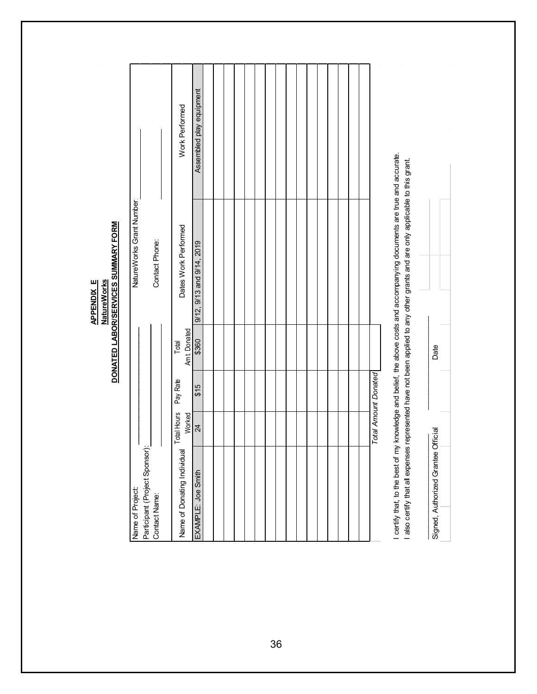|                                                      |                       |                             |                       | DONATED LABOR/SERVICES SUMMARY FORM<br><b>NatureWorks</b><br><b>APPENDIX E</b>                                                                                                                                            |                          |  |
|------------------------------------------------------|-----------------------|-----------------------------|-----------------------|---------------------------------------------------------------------------------------------------------------------------------------------------------------------------------------------------------------------------|--------------------------|--|
| Name of Project:                                     |                       |                             |                       | NatureWorks Grant Number                                                                                                                                                                                                  |                          |  |
| Participant (Project Sponsor):<br>Contact Name:      |                       |                             |                       | Contact Phone:                                                                                                                                                                                                            |                          |  |
| $\overline{\mathbb{Q}}$<br>Name of Donating Individu | Total Hours<br>Worked | Pay Rate                    | Amt. Donated<br>Total | Dates Work Performed                                                                                                                                                                                                      | Work Performed           |  |
| EXAMPLE: Joe Smith                                   | $\overline{24}$       | \$15                        | \$360                 | 9/12, 9/13 and 9/14, 2019                                                                                                                                                                                                 | Assembled play equipment |  |
|                                                      |                       |                             |                       |                                                                                                                                                                                                                           |                          |  |
|                                                      |                       |                             |                       |                                                                                                                                                                                                                           |                          |  |
|                                                      |                       |                             |                       |                                                                                                                                                                                                                           |                          |  |
|                                                      |                       |                             |                       |                                                                                                                                                                                                                           |                          |  |
|                                                      |                       |                             |                       |                                                                                                                                                                                                                           |                          |  |
|                                                      |                       |                             |                       |                                                                                                                                                                                                                           |                          |  |
|                                                      |                       |                             |                       |                                                                                                                                                                                                                           |                          |  |
|                                                      |                       |                             |                       |                                                                                                                                                                                                                           |                          |  |
|                                                      |                       |                             |                       |                                                                                                                                                                                                                           |                          |  |
|                                                      |                       |                             |                       |                                                                                                                                                                                                                           |                          |  |
|                                                      |                       |                             |                       |                                                                                                                                                                                                                           |                          |  |
|                                                      |                       |                             |                       |                                                                                                                                                                                                                           |                          |  |
|                                                      |                       |                             |                       |                                                                                                                                                                                                                           |                          |  |
|                                                      |                       |                             |                       |                                                                                                                                                                                                                           |                          |  |
|                                                      |                       |                             |                       |                                                                                                                                                                                                                           |                          |  |
|                                                      |                       |                             |                       |                                                                                                                                                                                                                           |                          |  |
|                                                      |                       | <b>Total Amount Donated</b> |                       |                                                                                                                                                                                                                           |                          |  |
| certify that, to the best of                         |                       |                             |                       | my knowledge and belief, the above costs and accompanying documents are true and accurate.<br>also certify that all expenses represented have not been applied to any other grants and are only applicable to this grant. |                          |  |
|                                                      |                       |                             |                       |                                                                                                                                                                                                                           |                          |  |
| Signed, Authorized Grantee Official                  |                       |                             | Date                  |                                                                                                                                                                                                                           |                          |  |
|                                                      |                       |                             |                       |                                                                                                                                                                                                                           |                          |  |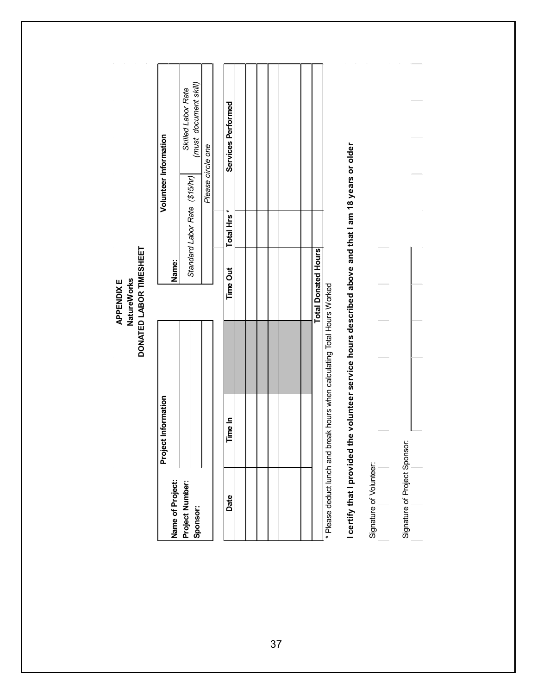*Standard Labor Rate (\$15/hr) Skilled Labor Rate (must document skill)* (must document skill) Skilled Labor Rate Services Performed **Services Performed Volunteer Information Volunteer Information** I certify that I provided the volunteer service hours described above and that I am 18 years or older Please circle one **I certify that I provided the volunteer service hours described above and that I am 18 years or older** *Please circle one* Standard Labor Rate (\$15/hr) Total Hrs<sup>\*</sup> **Total Hrs \*** DONATED LABOR TIMESHEET **DONATED LABOR TIMESHEET Total Donated Hours Total Donated Hours Name:** Time Out **Time Out NatureWorks** APPENDIX E **NatureWorks APPENDIX E** Please deduct lunch and break hours when calculating Total Hours Worked \* Please deduct lunch and break hours when calculating Total Hours Worked Project Information **Project Information** Time In **Date Time In** Signature of Project Sponsor: Signature of Project Sponsor: Signature of Volunteer: Signature of Volunteer: Name of Project: **Project Number: Sponsor: Name of Project:** Date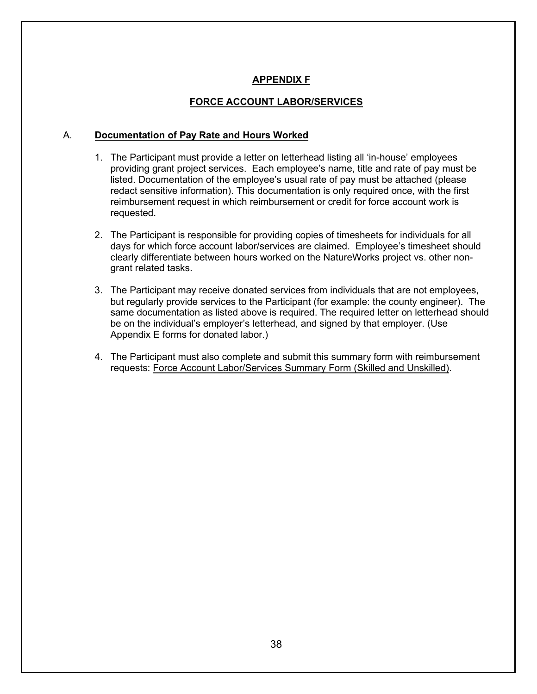## **APPENDIX F**

#### **FORCE ACCOUNT LABOR/SERVICES**

#### A. **Documentation of Pay Rate and Hours Worked**

- 1. The Participant must provide a letter on letterhead listing all 'in-house' employees providing grant project services. Each employee's name, title and rate of pay must be listed. Documentation of the employee's usual rate of pay must be attached (please redact sensitive information). This documentation is only required once, with the first reimbursement request in which reimbursement or credit for force account work is requested.
- 2. The Participant is responsible for providing copies of timesheets for individuals for all days for which force account labor/services are claimed. Employee's timesheet should clearly differentiate between hours worked on the NatureWorks project vs. other nongrant related tasks.
- 3. The Participant may receive donated services from individuals that are not employees, but regularly provide services to the Participant (for example: the county engineer). The same documentation as listed above is required. The required letter on letterhead should be on the individual's employer's letterhead, and signed by that employer. (Use Appendix E forms for donated labor.)
- 4. The Participant must also complete and submit this summary form with reimbursement requests: Force Account Labor/Services Summary Form (Skilled and Unskilled).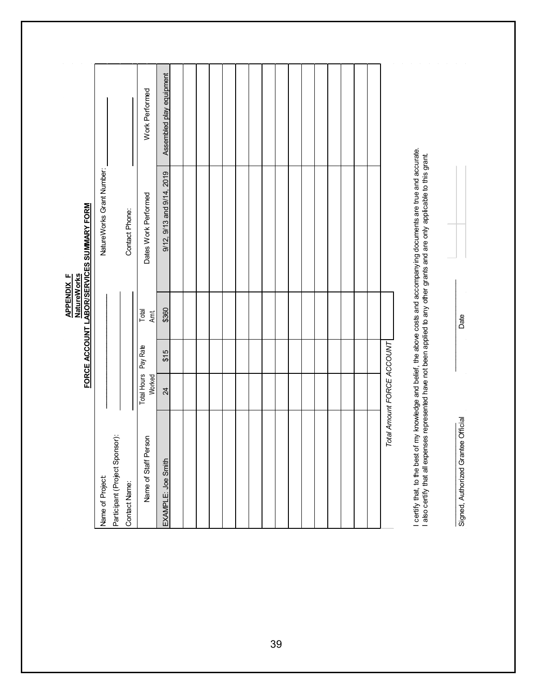Assembled play equipment 9/12, 9/13 and 9/14, 2019 | Assembled play equipment Work Performed Work Performed I certify that, to the best of my knowledge and belief, the above costs and accompanying documents are true and accurate.<br>I also certify that all expenses represented have not been applied to any other grants and are only I certify that, to the best of my knowledge and belief, the above costs and accompanying documents are true and accurate. I also certify that all expenses represented have not been applied to any other grants and are only applicable to this grant. NatureWorks Grant Number: 9/12, 9/13 and 9/14, 2019 NatureWorks Grant Number: Dates Work Performed Dates Work Performed **APPENDIX F<br>NatureWorks<br>FORCE ACCOUNT LABOR/SERVICES SUMMARY FORM FORCE ACCOUNT LABOR/SERVICES SUMMARY FORM**Contact Phone: Contact Phone: **APPENDIX F NatureWorks**  $\mathcal{L}_\text{max}$  , and the contract of the contract of the contract of the contract of the contract of the contract of the contract of the contract of the contract of the contract of the contract of the contract of the contr **\_\_\_\_\_\_\_\_\_\_\_\_\_\_\_\_\_\_\_\_\_\_\_\_\_\_\_\_\_\_** \$360 Total Amt. 24 \$15 \$360 Total Hours Pay Rate Total Worked Amt. Date Signed, Authorized Grantee Official Date Total Amount FORCE ACCOUNT *Total Amount FORCE ACCOUNT* Total Hours Pay Rate  $$15$ Worked  $\overline{24}$ Signed, Authorized Grantee Official Participant (Project Sponsor): Name of Staff Person Participant (Project Sponsor): Name of Staff Person EXAMPLE: Joe Smith EXAMPLE: Joe Smith Name of Project: Name of Project: Contact Name: Contact Name: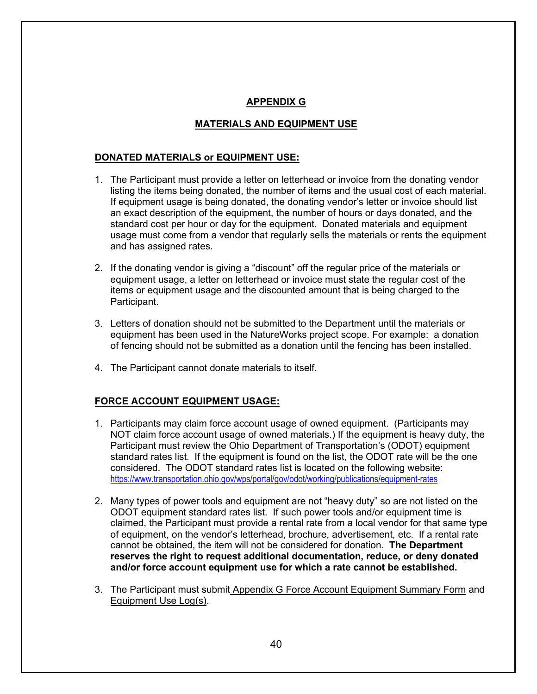## **APPENDIX G**

## **MATERIALS AND EQUIPMENT USE**

#### **DONATED MATERIALS or EQUIPMENT USE:**

- 1. The Participant must provide a letter on letterhead or invoice from the donating vendor listing the items being donated, the number of items and the usual cost of each material. If equipment usage is being donated, the donating vendor's letter or invoice should list an exact description of the equipment, the number of hours or days donated, and the standard cost per hour or day for the equipment. Donated materials and equipment usage must come from a vendor that regularly sells the materials or rents the equipment and has assigned rates.
- 2. If the donating vendor is giving a "discount" off the regular price of the materials or equipment usage, a letter on letterhead or invoice must state the regular cost of the items or equipment usage and the discounted amount that is being charged to the Participant.
- 3. Letters of donation should not be submitted to the Department until the materials or equipment has been used in the NatureWorks project scope. For example: a donation of fencing should not be submitted as a donation until the fencing has been installed.
- 4. The Participant cannot donate materials to itself.

#### **FORCE ACCOUNT EQUIPMENT USAGE:**

- 1. Participants may claim force account usage of owned equipment. (Participants may NOT claim force account usage of owned materials.) If the equipment is heavy duty, the Participant must review the Ohio Department of Transportation's (ODOT) equipment standard rates list. If the equipment is found on the list, the ODOT rate will be the one considered. The ODOT standard rates list is located on the following website: <https://www.transportation.ohio.gov/wps/portal/gov/odot/working/publications/equipment-rates>
- 2. Many types of power tools and equipment are not "heavy duty" so are not listed on the ODOT equipment standard rates list. If such power tools and/or equipment time is claimed, the Participant must provide a rental rate from a local vendor for that same type of equipment, on the vendor's letterhead, brochure, advertisement, etc. If a rental rate cannot be obtained, the item will not be considered for donation. **The Department reserves the right to request additional documentation, reduce, or deny donated and/or force account equipment use for which a rate cannot be established.**
- 3. The Participant must submit Appendix G Force Account Equipment Summary Form and Equipment Use Log(s).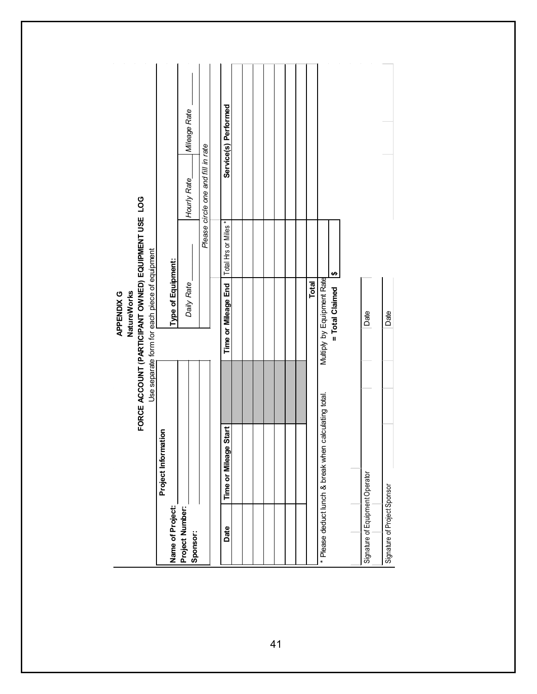|                                 |                                                       | FORCE ACCOUNT (PARTICIPANT OWNED) EQUIPMENT USE LOG<br>Use separate form for each piece of equipment<br>NatureWorks<br>APPENDIX G |                     |                                    |                      |  |
|---------------------------------|-------------------------------------------------------|-----------------------------------------------------------------------------------------------------------------------------------|---------------------|------------------------------------|----------------------|--|
| Name of Project:                | nation<br>Project Inforr                              | Type of Equipment:                                                                                                                |                     |                                    |                      |  |
| Project Number:<br>Sponsor:     |                                                       | Daily Rate                                                                                                                        |                     | Hourly Rate                        | Mileage Rate         |  |
|                                 |                                                       |                                                                                                                                   |                     | Please circle one and fill in rate |                      |  |
|                                 |                                                       |                                                                                                                                   |                     |                                    |                      |  |
| Date                            | e Start<br>Time or Mileag                             | Time or Mileage End                                                                                                               | Total Hrs or Miles* |                                    | Service(s) Performed |  |
|                                 |                                                       |                                                                                                                                   |                     |                                    |                      |  |
|                                 |                                                       |                                                                                                                                   |                     |                                    |                      |  |
|                                 |                                                       |                                                                                                                                   |                     |                                    |                      |  |
|                                 |                                                       |                                                                                                                                   |                     |                                    |                      |  |
|                                 |                                                       | <b>Total</b>                                                                                                                      |                     |                                    |                      |  |
|                                 | * Please deduct lunch & break when calculating total. | Multiply by Equipment Rate                                                                                                        |                     |                                    |                      |  |
|                                 |                                                       | = Total Claimed                                                                                                                   | $\frac{6}{2}$       |                                    |                      |  |
|                                 |                                                       |                                                                                                                                   |                     |                                    |                      |  |
| Signature of Equipment Operator |                                                       | Date                                                                                                                              |                     |                                    |                      |  |
| Signature of Project Sponsor    |                                                       | Date                                                                                                                              |                     |                                    |                      |  |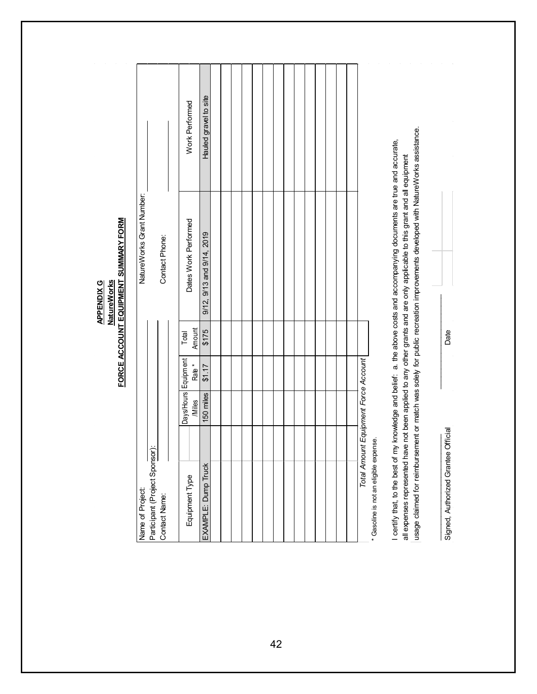Hauled gravel to site Hauled gravel to site**Work Performed** Work Performed usage claimed for reimbursement or match was solely for public recreation improvements developed with NatureWorks assistance. usage claimed for reimbursement or match was solely for public recreation improvements developed with NatureWorks assistance. I certify that, to the best of my knowledge and belief: a. the above costs and accompanying documents are true and accurate, I certify that, to the best of my knowledge and belief: a. the above costs and accompanying documents are true and accurate, all expenses represented have not been applied to any other grants and are only applicable to this grant and all equipment all expenses represented have not been applied to any other grants and are only applicable to this grant and all equipment NatureWorks Grant Number: NatureWorks Grant Number: FORCE ACCOUNT EQUIPMENT SUMMARY FORM Dates Work Performed **FORCE ACCOUNT EQUIPMENT SUMMARY FORM** Dates Work Performed 9/12, 9/13 and 9/14, 2019 Contact Phone: 9/12, 9/13 and 9/14, 2019 Contact Phone: **NatureWorks APPENDIX G NatureWorks APPENDIX G** \_\_\_\_\_\_\_\_\_\_\_\_\_\_\_\_\_\_\_\_\_\_\_\_\_\_\_ \_\_\_\_\_\_\_\_\_\_\_\_\_\_\_\_\_\_\_\_\_\_\_\_ \$175 Amount Rate \* Amount Date Signed, Authorized Grantee Official Date Total 150 miles \$1.17 \$175 Equipment Total Days/Hours Equipment Total Amount Equipment Force Account *Total Amount Equipment Force Account*  $$1.17$ Rate<sup>\*</sup> 150 miles /Miles Signed, Authorized Grantee Official Gasoline is not an eligible expense. \* Gasoline is not an eligible expense. Participant (Project Sponsor): Participant (Project Sponsor): EXAMPLE: Dump Truck EXAMPLE: Dump Truck Equipment Type Equipment Type Name of Project: Name of Project: Contact Name: Contact Name: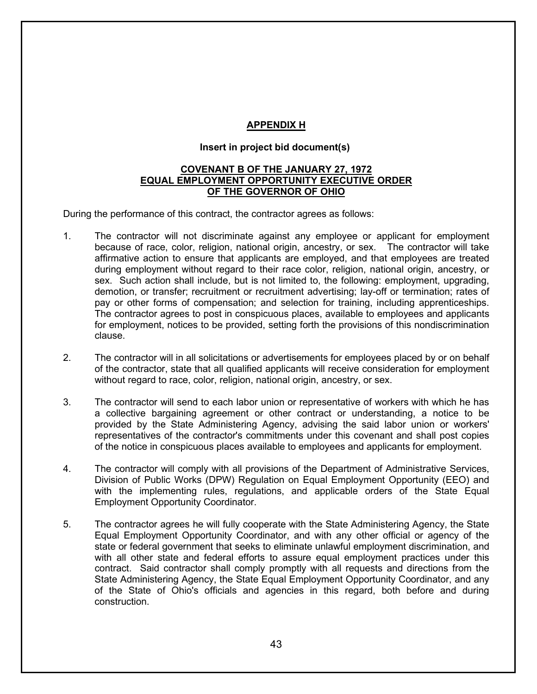## **APPENDIX H**

## **Insert in project bid document(s)**

#### **COVENANT B OF THE JANUARY 27, 1972 EQUAL EMPLOYMENT OPPORTUNITY EXECUTIVE ORDER OF THE GOVERNOR OF OHIO**

During the performance of this contract, the contractor agrees as follows:

- 1. The contractor will not discriminate against any employee or applicant for employment because of race, color, religion, national origin, ancestry, or sex. The contractor will take affirmative action to ensure that applicants are employed, and that employees are treated during employment without regard to their race color, religion, national origin, ancestry, or sex. Such action shall include, but is not limited to, the following: employment, upgrading, demotion, or transfer; recruitment or recruitment advertising; lay-off or termination; rates of pay or other forms of compensation; and selection for training, including apprenticeships. The contractor agrees to post in conspicuous places, available to employees and applicants for employment, notices to be provided, setting forth the provisions of this nondiscrimination clause.
- 2. The contractor will in all solicitations or advertisements for employees placed by or on behalf of the contractor, state that all qualified applicants will receive consideration for employment without regard to race, color, religion, national origin, ancestry, or sex.
- 3. The contractor will send to each labor union or representative of workers with which he has a collective bargaining agreement or other contract or understanding, a notice to be provided by the State Administering Agency, advising the said labor union or workers' representatives of the contractor's commitments under this covenant and shall post copies of the notice in conspicuous places available to employees and applicants for employment.
- 4. The contractor will comply with all provisions of the Department of Administrative Services, Division of Public Works (DPW) Regulation on Equal Employment Opportunity (EEO) and with the implementing rules, regulations, and applicable orders of the State Equal Employment Opportunity Coordinator.
- 5. The contractor agrees he will fully cooperate with the State Administering Agency, the State Equal Employment Opportunity Coordinator, and with any other official or agency of the state or federal government that seeks to eliminate unlawful employment discrimination, and with all other state and federal efforts to assure equal employment practices under this contract. Said contractor shall comply promptly with all requests and directions from the State Administering Agency, the State Equal Employment Opportunity Coordinator, and any of the State of Ohio's officials and agencies in this regard, both before and during construction.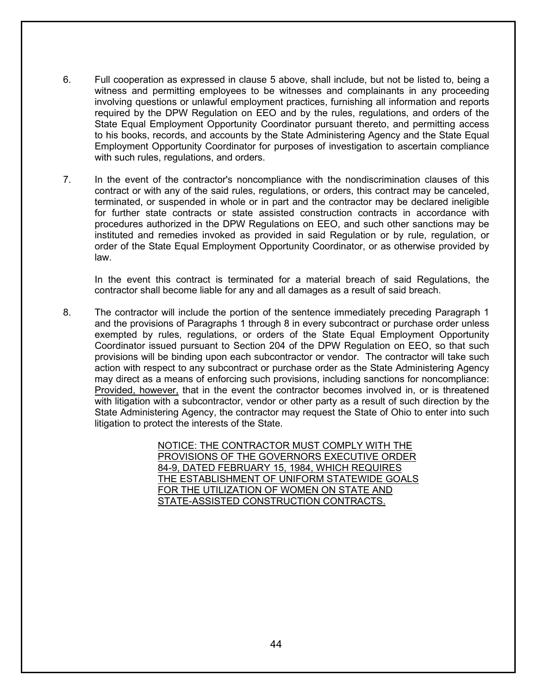- 6. Full cooperation as expressed in clause 5 above, shall include, but not be listed to, being a witness and permitting employees to be witnesses and complainants in any proceeding involving questions or unlawful employment practices, furnishing all information and reports required by the DPW Regulation on EEO and by the rules, regulations, and orders of the State Equal Employment Opportunity Coordinator pursuant thereto, and permitting access to his books, records, and accounts by the State Administering Agency and the State Equal Employment Opportunity Coordinator for purposes of investigation to ascertain compliance with such rules, regulations, and orders.
- 7. In the event of the contractor's noncompliance with the nondiscrimination clauses of this contract or with any of the said rules, regulations, or orders, this contract may be canceled, terminated, or suspended in whole or in part and the contractor may be declared ineligible for further state contracts or state assisted construction contracts in accordance with procedures authorized in the DPW Regulations on EEO, and such other sanctions may be instituted and remedies invoked as provided in said Regulation or by rule, regulation, or order of the State Equal Employment Opportunity Coordinator, or as otherwise provided by law.

In the event this contract is terminated for a material breach of said Regulations, the contractor shall become liable for any and all damages as a result of said breach.

8. The contractor will include the portion of the sentence immediately preceding Paragraph 1 and the provisions of Paragraphs 1 through 8 in every subcontract or purchase order unless exempted by rules, regulations, or orders of the State Equal Employment Opportunity Coordinator issued pursuant to Section 204 of the DPW Regulation on EEO, so that such provisions will be binding upon each subcontractor or vendor. The contractor will take such action with respect to any subcontract or purchase order as the State Administering Agency may direct as a means of enforcing such provisions, including sanctions for noncompliance: Provided, however, that in the event the contractor becomes involved in, or is threatened with litigation with a subcontractor, vendor or other party as a result of such direction by the State Administering Agency, the contractor may request the State of Ohio to enter into such litigation to protect the interests of the State.

> NOTICE: THE CONTRACTOR MUST COMPLY WITH THE PROVISIONS OF THE GOVERNORS EXECUTIVE ORDER 84-9, DATED FEBRUARY 15, 1984, WHICH REQUIRES THE ESTABLISHMENT OF UNIFORM STATEWIDE GOALS FOR THE UTILIZATION OF WOMEN ON STATE AND STATE-ASSISTED CONSTRUCTION CONTRACTS.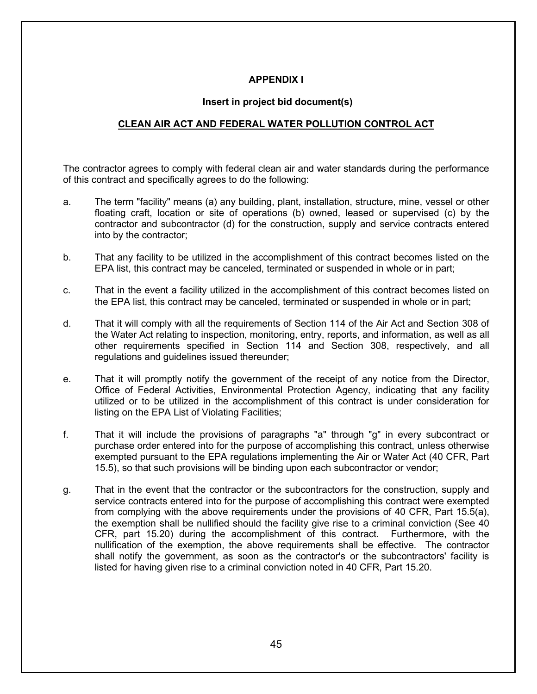## **APPENDIX I**

#### **Insert in project bid document(s)**

## **CLEAN AIR ACT AND FEDERAL WATER POLLUTION CONTROL ACT**

The contractor agrees to comply with federal clean air and water standards during the performance of this contract and specifically agrees to do the following:

- a. The term "facility" means (a) any building, plant, installation, structure, mine, vessel or other floating craft, location or site of operations (b) owned, leased or supervised (c) by the contractor and subcontractor (d) for the construction, supply and service contracts entered into by the contractor;
- b. That any facility to be utilized in the accomplishment of this contract becomes listed on the EPA list, this contract may be canceled, terminated or suspended in whole or in part;
- c. That in the event a facility utilized in the accomplishment of this contract becomes listed on the EPA list, this contract may be canceled, terminated or suspended in whole or in part;
- d. That it will comply with all the requirements of Section 114 of the Air Act and Section 308 of the Water Act relating to inspection, monitoring, entry, reports, and information, as well as all other requirements specified in Section 114 and Section 308, respectively, and all regulations and guidelines issued thereunder;
- e. That it will promptly notify the government of the receipt of any notice from the Director, Office of Federal Activities, Environmental Protection Agency, indicating that any facility utilized or to be utilized in the accomplishment of this contract is under consideration for listing on the EPA List of Violating Facilities;
- f. That it will include the provisions of paragraphs "a" through "g" in every subcontract or purchase order entered into for the purpose of accomplishing this contract, unless otherwise exempted pursuant to the EPA regulations implementing the Air or Water Act (40 CFR, Part 15.5), so that such provisions will be binding upon each subcontractor or vendor;
- g. That in the event that the contractor or the subcontractors for the construction, supply and service contracts entered into for the purpose of accomplishing this contract were exempted from complying with the above requirements under the provisions of 40 CFR, Part 15.5(a), the exemption shall be nullified should the facility give rise to a criminal conviction (See 40 CFR, part 15.20) during the accomplishment of this contract. Furthermore, with the nullification of the exemption, the above requirements shall be effective. The contractor shall notify the government, as soon as the contractor's or the subcontractors' facility is listed for having given rise to a criminal conviction noted in 40 CFR, Part 15.20.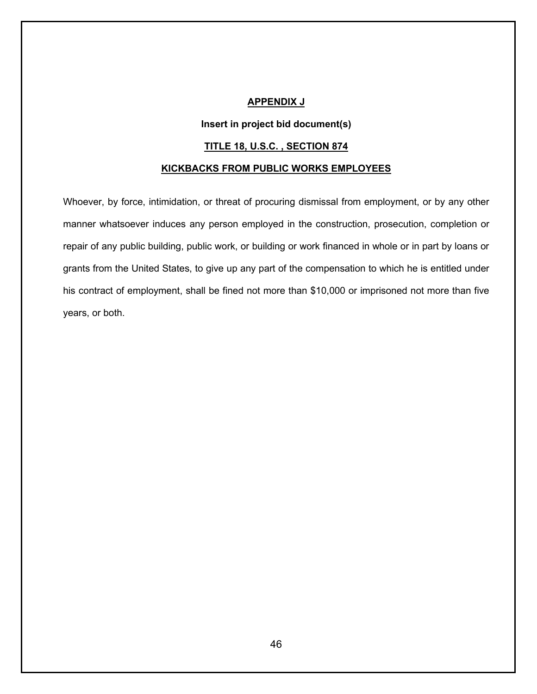#### **APPENDIX J**

#### **Insert in project bid document(s)**

#### **TITLE 18, U.S.C. , SECTION 874**

#### **KICKBACKS FROM PUBLIC WORKS EMPLOYEES**

Whoever, by force, intimidation, or threat of procuring dismissal from employment, or by any other manner whatsoever induces any person employed in the construction, prosecution, completion or repair of any public building, public work, or building or work financed in whole or in part by loans or grants from the United States, to give up any part of the compensation to which he is entitled under his contract of employment, shall be fined not more than \$10,000 or imprisoned not more than five years, or both.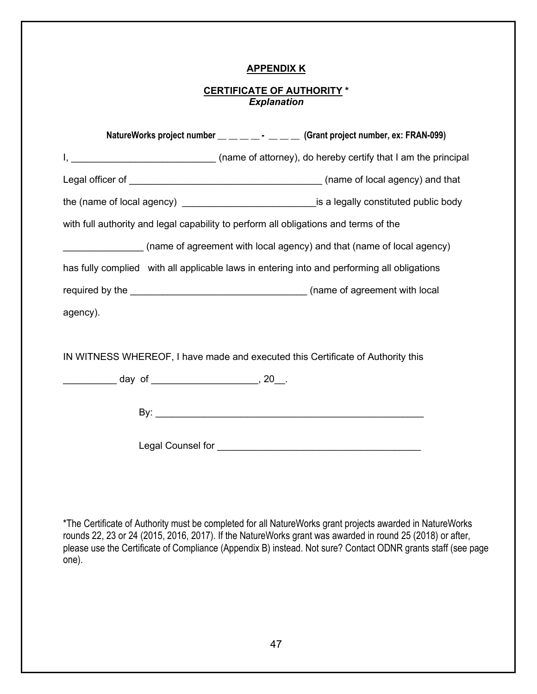## **APPENDIX K**

## **CERTIFICATE OF AUTHORITY \*** *Explanation*

|                                                    | NatureWorks project number __ _ _ _ _ _ _ _ Grant project number, ex: FRAN-099)                   |
|----------------------------------------------------|---------------------------------------------------------------------------------------------------|
|                                                    |                                                                                                   |
|                                                    |                                                                                                   |
|                                                    | the (name of local agency) __________________________________is a legally constituted public body |
|                                                    | with full authority and legal capability to perform all obligations and terms of the              |
|                                                    | (name of agreement with local agency) and that (name of local agency)                             |
|                                                    | has fully complied with all applicable laws in entering into and performing all obligations       |
|                                                    |                                                                                                   |
| agency).                                           |                                                                                                   |
|                                                    |                                                                                                   |
|                                                    | IN WITNESS WHEREOF, I have made and executed this Certificate of Authority this                   |
| ____________ day of _______________________, 20__. |                                                                                                   |
|                                                    |                                                                                                   |
|                                                    |                                                                                                   |

\*The Certificate of Authority must be completed for all NatureWorks grant projects awarded in NatureWorks rounds 22, 23 or 24 (2015, 2016, 2017). If the NatureWorks grant was awarded in round 25 (2018) or after, please use the Certificate of Compliance (Appendix B) instead. Not sure? Contact ODNR grants staff (see page one).